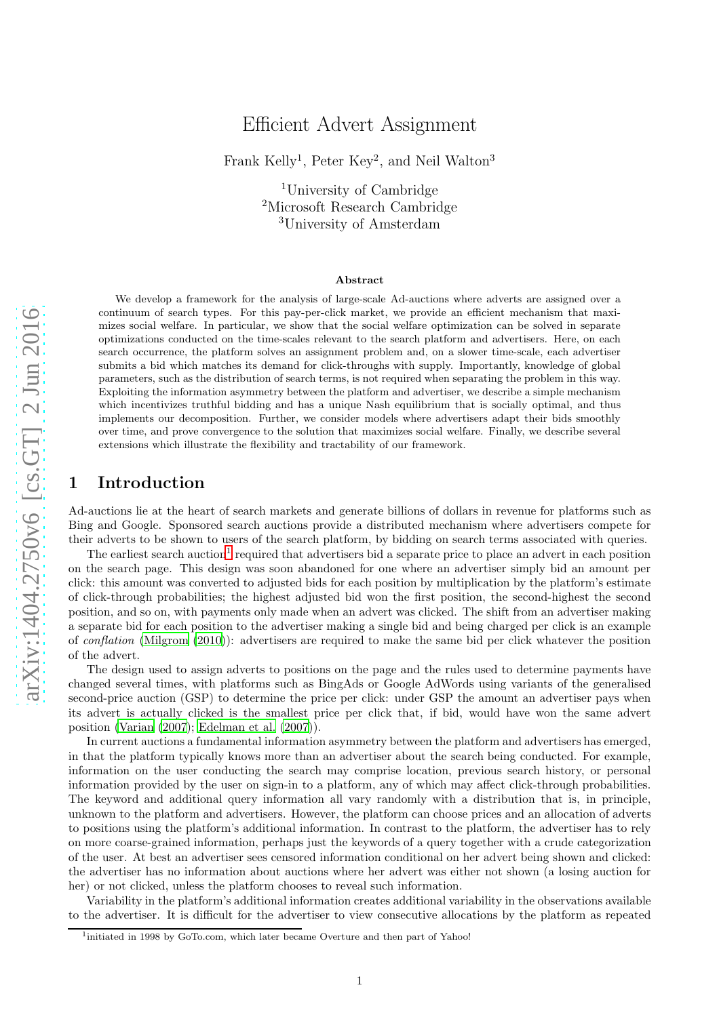# Efficient Advert Assignment

Frank Kelly<sup>1</sup>, Peter Key<sup>2</sup>, and Neil Walton<sup>3</sup>

<sup>1</sup>University of Cambridge <sup>2</sup>Microsoft Research Cambridge <sup>3</sup>University of Amsterdam

#### Abstract

We develop a framework for the analysis of large-scale Ad-auctions where adverts are assigned over a continuum of search types. For this pay-per-click market, we provide an efficient mechanism that maximizes social welfare. In particular, we show that the social welfare optimization can be solved in separate optimizations conducted on the time-scales relevant to the search platform and advertisers. Here, on each search occurrence, the platform solves an assignment problem and, on a slower time-scale, each advertiser submits a bid which matches its demand for click-throughs with supply. Importantly, knowledge of global parameters, such as the distribution of search terms, is not required when separating the problem in this way. Exploiting the information asymmetry between the platform and advertiser, we describe a simple mechanism which incentivizes truthful bidding and has a unique Nash equilibrium that is socially optimal, and thus implements our decomposition. Further, we consider models where advertisers adapt their bids smoothly over time, and prove convergence to the solution that maximizes social welfare. Finally, we describe several extensions which illustrate the flexibility and tractability of our framework.

# 1 Introduction

Ad-auctions lie at the heart of search markets and generate billions of dollars in revenue for platforms such as Bing and Google. Sponsored search auctions provide a distributed mechanism where advertisers compete for their adverts to be shown to users of the search platform, by bidding on search terms associated with queries.

The earliest search auction<sup>[1](#page-0-0)</sup> required that advertisers bid a separate price to place an advert in each position on the search page. This design was soon abandoned for one where an advertiser simply bid an amount per click: this amount was converted to adjusted bids for each position by multiplication by the platform's estimate of click-through probabilities; the highest adjusted bid won the first position, the second-highest the second position, and so on, with payments only made when an advert was clicked. The shift from an advertiser making a separate bid for each position to the advertiser making a single bid and being charged per click is an example of conflation [\(Milgrom \(2010](#page-18-0))): advertisers are required to make the same bid per click whatever the position of the advert.

The design used to assign adverts to positions on the page and the rules used to determine payments have changed several times, with platforms such as BingAds or Google AdWords using variants of the generalised second-price auction (GSP) to determine the price per click: under GSP the amount an advertiser pays when its advert is actually clicked is the smallest price per click that, if bid, would have won the same advert position [\(Varian \(2007\)](#page-19-0); [Edelman et al. \(2007](#page-18-1))).

In current auctions a fundamental information asymmetry between the platform and advertisers has emerged, in that the platform typically knows more than an advertiser about the search being conducted. For example, information on the user conducting the search may comprise location, previous search history, or personal information provided by the user on sign-in to a platform, any of which may affect click-through probabilities. The keyword and additional query information all vary randomly with a distribution that is, in principle, unknown to the platform and advertisers. However, the platform can choose prices and an allocation of adverts to positions using the platform's additional information. In contrast to the platform, the advertiser has to rely on more coarse-grained information, perhaps just the keywords of a query together with a crude categorization of the user. At best an advertiser sees censored information conditional on her advert being shown and clicked: the advertiser has no information about auctions where her advert was either not shown (a losing auction for her) or not clicked, unless the platform chooses to reveal such information.

Variability in the platform's additional information creates additional variability in the observations available to the advertiser. It is difficult for the advertiser to view consecutive allocations by the platform as repeated

<span id="page-0-0"></span><sup>&</sup>lt;sup>1</sup>initiated in 1998 by GoTo.com, which later became Overture and then part of Yahoo!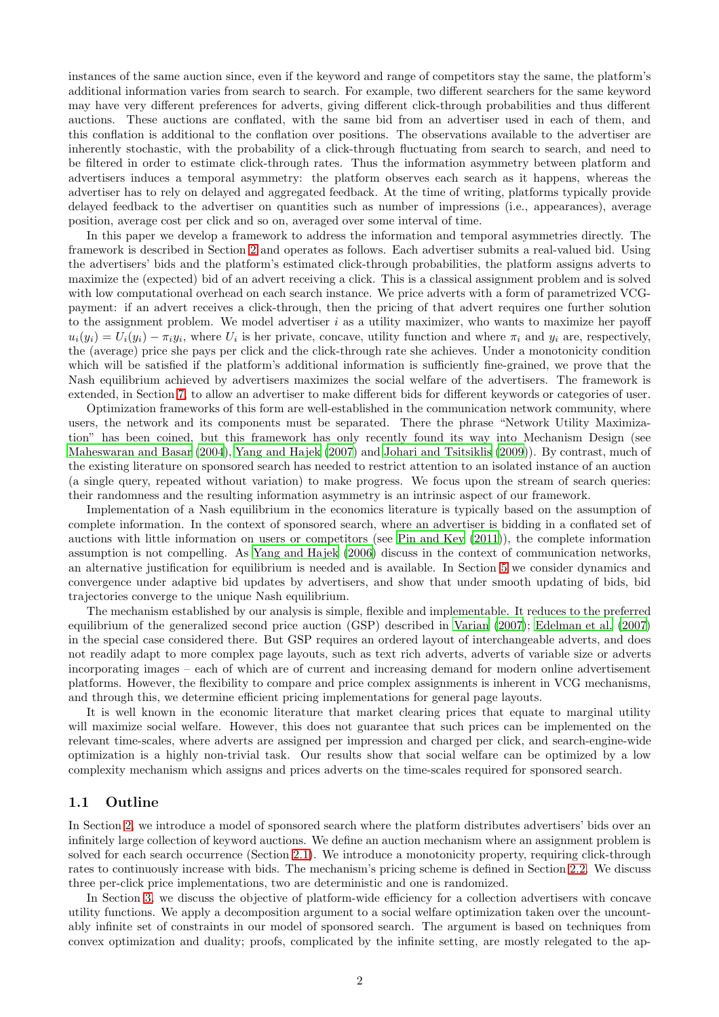instances of the same auction since, even if the keyword and range of competitors stay the same, the platform's additional information varies from search to search. For example, two different searchers for the same keyword may have very different preferences for adverts, giving different click-through probabilities and thus different auctions. These auctions are conflated, with the same bid from an advertiser used in each of them, and this conflation is additional to the conflation over positions. The observations available to the advertiser are inherently stochastic, with the probability of a click-through fluctuating from search to search, and need to be filtered in order to estimate click-through rates. Thus the information asymmetry between platform and advertisers induces a temporal asymmetry: the platform observes each search as it happens, whereas the advertiser has to rely on delayed and aggregated feedback. At the time of writing, platforms typically provide delayed feedback to the advertiser on quantities such as number of impressions (i.e., appearances), average position, average cost per click and so on, averaged over some interval of time.

In this paper we develop a framework to address the information and temporal asymmetries directly. The framework is described in Section [2](#page-2-0) and operates as follows. Each advertiser submits a real-valued bid. Using the advertisers' bids and the platform's estimated click-through probabilities, the platform assigns adverts to maximize the (expected) bid of an advert receiving a click. This is a classical assignment problem and is solved with low computational overhead on each search instance. We price adverts with a form of parametrized VCGpayment: if an advert receives a click-through, then the pricing of that advert requires one further solution to the assignment problem. We model advertiser  $i$  as a utility maximizer, who wants to maximize her payoff  $u_i(y_i) = U_i(y_i) - \pi_i y_i$ , where  $U_i$  is her private, concave, utility function and where  $\pi_i$  and  $y_i$  are, respectively, the (average) price she pays per click and the click-through rate she achieves. Under a monotonicity condition which will be satisfied if the platform's additional information is sufficiently fine-grained, we prove that the Nash equilibrium achieved by advertisers maximizes the social welfare of the advertisers. The framework is extended, in Section [7,](#page-12-0) to allow an advertiser to make different bids for different keywords or categories of user.

Optimization frameworks of this form are well-established in the communication network community, where users, the network and its components must be separated. There the phrase "Network Utility Maximization" has been coined, but this framework has only recently found its way into Mechanism Design (see [Maheswaran and Basar \(2004](#page-18-2)), [Yang and Hajek \(2007](#page-19-1)) and [Johari and Tsitsiklis \(2009\)](#page-18-3)). By contrast, much of the existing literature on sponsored search has needed to restrict attention to an isolated instance of an auction (a single query, repeated without variation) to make progress. We focus upon the stream of search queries: their randomness and the resulting information asymmetry is an intrinsic aspect of our framework.

Implementation of a Nash equilibrium in the economics literature is typically based on the assumption of complete information. In the context of sponsored search, where an advertiser is bidding in a conflated set of auctions with little information on users or competitors (see [Pin and Key \(2011\)](#page-18-4)), the complete information assumption is not compelling. As [Yang and Hajek \(2006\)](#page-19-2) discuss in the context of communication networks, an alternative justification for equilibrium is needed and is available. In Section [5](#page-9-0) we consider dynamics and convergence under adaptive bid updates by advertisers, and show that under smooth updating of bids, bid trajectories converge to the unique Nash equilibrium.

The mechanism established by our analysis is simple, flexible and implementable. It reduces to the preferred equilibrium of the generalized second price auction (GSP) described in [Varian \(2007\)](#page-19-0); [Edelman et al. \(2007\)](#page-18-1) in the special case considered there. But GSP requires an ordered layout of interchangeable adverts, and does not readily adapt to more complex page layouts, such as text rich adverts, adverts of variable size or adverts incorporating images – each of which are of current and increasing demand for modern online advertisement platforms. However, the flexibility to compare and price complex assignments is inherent in VCG mechanisms, and through this, we determine efficient pricing implementations for general page layouts.

It is well known in the economic literature that market clearing prices that equate to marginal utility will maximize social welfare. However, this does not guarantee that such prices can be implemented on the relevant time-scales, where adverts are assigned per impression and charged per click, and search-engine-wide optimization is a highly non-trivial task. Our results show that social welfare can be optimized by a low complexity mechanism which assigns and prices adverts on the time-scales required for sponsored search.

### 1.1 Outline

In Section [2,](#page-2-0) we introduce a model of sponsored search where the platform distributes advertisers' bids over an infinitely large collection of keyword auctions. We define an auction mechanism where an assignment problem is solved for each search occurrence (Section [2.1\)](#page-2-1). We introduce a monotonicity property, requiring click-through rates to continuously increase with bids. The mechanism's pricing scheme is defined in Section [2.2.](#page-3-0) We discuss three per-click price implementations, two are deterministic and one is randomized.

In Section [3,](#page-5-0) we discuss the objective of platform-wide efficiency for a collection advertisers with concave utility functions. We apply a decomposition argument to a social welfare optimization taken over the uncountably infinite set of constraints in our model of sponsored search. The argument is based on techniques from convex optimization and duality; proofs, complicated by the infinite setting, are mostly relegated to the ap-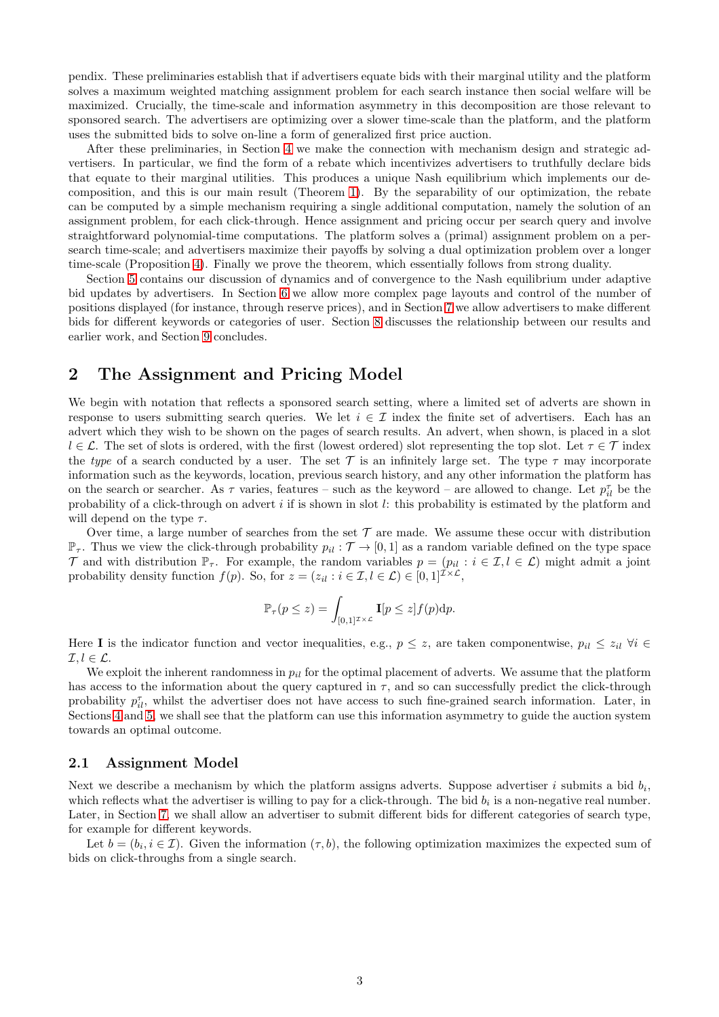pendix. These preliminaries establish that if advertisers equate bids with their marginal utility and the platform solves a maximum weighted matching assignment problem for each search instance then social welfare will be maximized. Crucially, the time-scale and information asymmetry in this decomposition are those relevant to sponsored search. The advertisers are optimizing over a slower time-scale than the platform, and the platform uses the submitted bids to solve on-line a form of generalized first price auction.

After these preliminaries, in Section [4](#page-7-0) we make the connection with mechanism design and strategic advertisers. In particular, we find the form of a rebate which incentivizes advertisers to truthfully declare bids that equate to their marginal utilities. This produces a unique Nash equilibrium which implements our decomposition, and this is our main result (Theorem [1\)](#page-8-0). By the separability of our optimization, the rebate can be computed by a simple mechanism requiring a single additional computation, namely the solution of an assignment problem, for each click-through. Hence assignment and pricing occur per search query and involve straightforward polynomial-time computations. The platform solves a (primal) assignment problem on a persearch time-scale; and advertisers maximize their payoffs by solving a dual optimization problem over a longer time-scale (Proposition [4\)](#page-8-1). Finally we prove the theorem, which essentially follows from strong duality.

Section [5](#page-9-0) contains our discussion of dynamics and of convergence to the Nash equilibrium under adaptive bid updates by advertisers. In Section [6](#page-11-0) we allow more complex page layouts and control of the number of positions displayed (for instance, through reserve prices), and in Section [7](#page-12-0) we allow advertisers to make different bids for different keywords or categories of user. Section [8](#page-15-0) discusses the relationship between our results and earlier work, and Section [9](#page-16-0) concludes.

## <span id="page-2-0"></span>2 The Assignment and Pricing Model

We begin with notation that reflects a sponsored search setting, where a limited set of adverts are shown in response to users submitting search queries. We let  $i \in \mathcal{I}$  index the finite set of advertisers. Each has an advert which they wish to be shown on the pages of search results. An advert, when shown, is placed in a slot  $l \in \mathcal{L}$ . The set of slots is ordered, with the first (lowest ordered) slot representing the top slot. Let  $\tau \in \mathcal{T}$  index the type of a search conducted by a user. The set  $\mathcal T$  is an infinitely large set. The type  $\tau$  may incorporate information such as the keywords, location, previous search history, and any other information the platform has on the search or searcher. As  $\tau$  varies, features – such as the keyword – are allowed to change. Let  $p_{il}^{\tau}$  be the probability of a click-through on advert  $i$  if is shown in slot  $l$ : this probability is estimated by the platform and will depend on the type  $\tau$ .

Over time, a large number of searches from the set  $\mathcal T$  are made. We assume these occur with distribution  $\mathbb{P}_{\tau}$ . Thus we view the click-through probability  $p_{il} : \mathcal{T} \to [0,1]$  as a random variable defined on the type space T and with distribution  $\mathbb{P}_{\tau}$ . For example, the random variables  $p = (p_{il} : i \in \mathcal{I}, l \in \mathcal{L})$  might admit a joint probability density function  $f(p)$ . So, for  $z = (z_{il} : i \in \mathcal{I}, l \in \mathcal{L}) \in [0, 1]^{\mathcal{I} \times \mathcal{L}}$ ,

$$
\mathbb{P}_{\tau}(p \leq z) = \int_{[0,1]^{Z \times \mathcal{L}}} \mathbf{I}[p \leq z] f(p) dp.
$$

Here I is the indicator function and vector inequalities, e.g.,  $p \leq z$ , are taken componentwise,  $p_{il} \leq z_{il}$   $\forall i \in$  $\mathcal{I}, l \in \mathcal{L}.$ 

We exploit the inherent randomness in  $p_{il}$  for the optimal placement of adverts. We assume that the platform has access to the information about the query captured in  $\tau$ , and so can successfully predict the click-through probability  $p_{il}^{\tau}$ , whilst the advertiser does not have access to such fine-grained search information. Later, in Sections [4](#page-7-0) and [5,](#page-9-0) we shall see that the platform can use this information asymmetry to guide the auction system towards an optimal outcome.

#### <span id="page-2-1"></span>2.1 Assignment Model

Next we describe a mechanism by which the platform assigns adverts. Suppose advertiser  $i$  submits a bid  $b_i$ , which reflects what the advertiser is willing to pay for a click-through. The bid  $b_i$  is a non-negative real number. Later, in Section [7,](#page-12-0) we shall allow an advertiser to submit different bids for different categories of search type, for example for different keywords.

Let  $b = (b_i, i \in \mathcal{I})$ . Given the information  $(\tau, b)$ , the following optimization maximizes the expected sum of bids on click-throughs from a single search.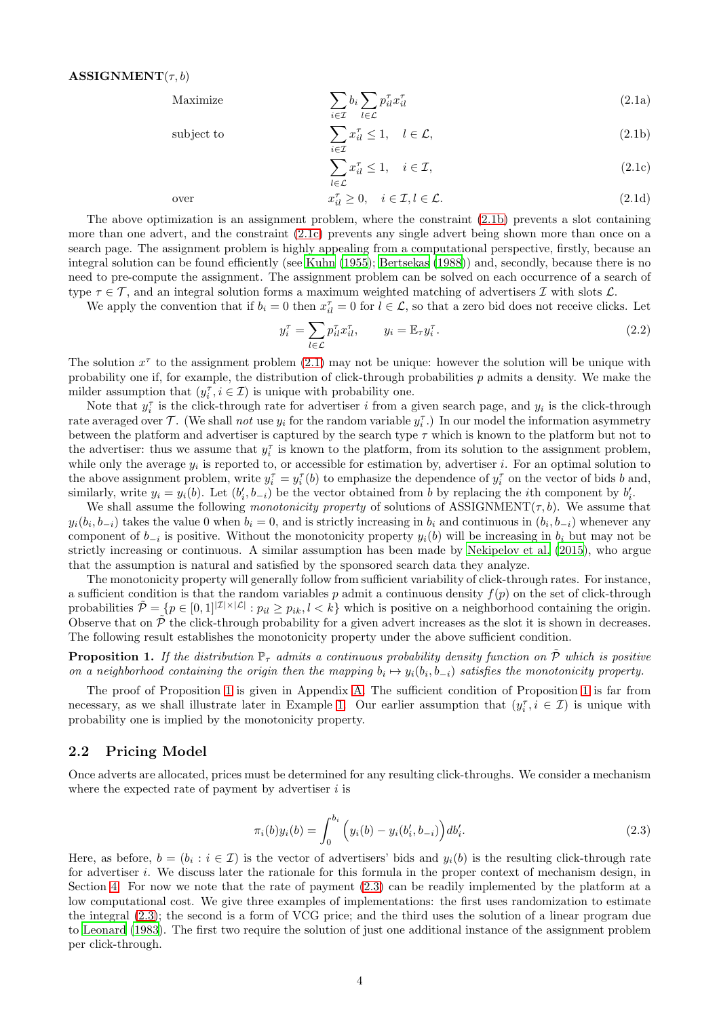<span id="page-3-3"></span>Maximize 
$$
\sum_{i \in \mathcal{I}} b_i \sum_{l \in \mathcal{L}} p_{il}^{\tau} x_{il}^{\tau}
$$
 (2.1a)

subject to 
$$
\sum_{i \in \mathcal{I}} x_{il}^{\tau} \leq 1, \quad l \in \mathcal{L},
$$
 (2.1b)

<span id="page-3-8"></span><span id="page-3-6"></span><span id="page-3-2"></span><span id="page-3-1"></span>
$$
\sum_{l \in \mathcal{L}} x_{il}^{\tau} \le 1, \quad i \in \mathcal{I}, \tag{2.1c}
$$

over 
$$
x_{il}^{\tau} \ge 0
$$
,  $i \in \mathcal{I}, l \in \mathcal{L}$ . (2.1d)

The above optimization is an assignment problem, where the constraint [\(2.1b\)](#page-3-1) prevents a slot containing more than one advert, and the constraint [\(2.1c\)](#page-3-2) prevents any single advert being shown more than once on a search page. The assignment problem is highly appealing from a computational perspective, firstly, because an integral solution can be found efficiently (see [Kuhn \(1955\)](#page-18-5); [Bertsekas \(1988](#page-17-0))) and, secondly, because there is no need to pre-compute the assignment. The assignment problem can be solved on each occurrence of a search of type  $\tau \in \mathcal{T}$ , and an integral solution forms a maximum weighted matching of advertisers  $\mathcal{I}$  with slots  $\mathcal{L}$ .

We apply the convention that if  $b_i = 0$  then  $x_{il}^{\tau} = 0$  for  $l \in \mathcal{L}$ , so that a zero bid does not receive clicks. Let

<span id="page-3-7"></span>
$$
y_i^{\tau} = \sum_{l \in \mathcal{L}} p_{il}^{\tau} x_{il}^{\tau}, \qquad y_i = \mathbb{E}_{\tau} y_i^{\tau}.
$$
\n
$$
(2.2)
$$

The solution  $x^{\tau}$  to the assignment problem [\(2.1\)](#page-3-3) may not be unique: however the solution will be unique with probability one if, for example, the distribution of click-through probabilities  $p$  admits a density. We make the milder assumption that  $(y_i^{\tau}, i \in \mathcal{I})$  is unique with probability one.

Note that  $y_i^{\tau}$  is the click-through rate for advertiser i from a given search page, and  $y_i$  is the click-through rate averaged over  $\mathcal{T}$ . (We shall not use  $y_i$  for the random variable  $y_i^{\tau}$ .) In our model the information asymmetry between the platform and advertiser is captured by the search type  $\tau$  which is known to the platform but not to the advertiser: thus we assume that  $y_i^{\tau}$  is known to the platform, from its solution to the assignment problem, while only the average  $y_i$  is reported to, or accessible for estimation by, advertiser i. For an optimal solution to the above assignment problem, write  $y_i^{\tau} = y_i^{\tau}(b)$  to emphasize the dependence of  $y_i^{\tau}$  on the vector of bids b and, similarly, write  $y_i = y_i(b)$ . Let  $(b'_i, b_{-i})$  be the vector obtained from b by replacing the *i*th component by  $b'_i$ .

We shall assume the following monotonicity property of solutions of ASSIGNMENT( $\tau$ , b). We assume that  $y_i(b_i, b_{-i})$  takes the value 0 when  $b_i = 0$ , and is strictly increasing in  $b_i$  and continuous in  $(b_i, b_{-i})$  whenever any component of  $b_{-i}$  is positive. Without the monotonicity property  $y_i(b)$  will be increasing in  $b_i$  but may not be strictly increasing or continuous. A similar assumption has been made by [Nekipelov et al. \(2015\)](#page-18-6), who argue that the assumption is natural and satisfied by the sponsored search data they analyze.

The monotonicity property will generally follow from sufficient variability of click-through rates. For instance, a sufficient condition is that the random variables p admit a continuous density  $f(p)$  on the set of click-through probabilities  $\tilde{\mathcal{P}} = \{p \in [0,1]^{|{\mathcal{I}}| \times |{\mathcal{L}}|}: p_{il} \geq p_{ik}, l < k\}$  which is positive on a neighborhood containing the origin. Observe that on  $\tilde{\mathcal{P}}$  the click-through probability for a given advert increases as the slot it is shown in decreases. The following result establishes the monotonicity property under the above sufficient condition.

### <span id="page-3-4"></span>**Proposition 1.** If the distribution  $\mathbb{P}_{\tau}$  admits a continuous probability density function on  $\tilde{\mathcal{P}}$  which is positive on a neighborhood containing the origin then the mapping  $b_i \mapsto y_i(b_i, b_{-i})$  satisfies the monotonicity property.

The proof of Proposition [1](#page-3-4) is given in Appendix [A.](#page-19-3) The sufficient condition of Proposition [1](#page-3-4) is far from necessary, as we shall illustrate later in Example [1.](#page-5-1) Our earlier assumption that  $(y_i^{\tau}, i \in \mathcal{I})$  is unique with probability one is implied by the monotonicity property.

#### <span id="page-3-0"></span>2.2 Pricing Model

Once adverts are allocated, prices must be determined for any resulting click-throughs. We consider a mechanism where the expected rate of payment by advertiser  $i$  is

<span id="page-3-5"></span>
$$
\pi_i(b)y_i(b) = \int_0^{b_i} \left( y_i(b) - y_i(b'_i, b_{-i}) \right) db'_i.
$$
\n(2.3)

Here, as before,  $b = (b_i : i \in \mathcal{I})$  is the vector of advertisers' bids and  $y_i(b)$  is the resulting click-through rate for advertiser i. We discuss later the rationale for this formula in the proper context of mechanism design, in Section [4.](#page-7-0) For now we note that the rate of payment [\(2.3\)](#page-3-5) can be readily implemented by the platform at a low computational cost. We give three examples of implementations: the first uses randomization to estimate the integral [\(2.3\)](#page-3-5); the second is a form of VCG price; and the third uses the solution of a linear program due to [Leonard \(1983](#page-18-7)). The first two require the solution of just one additional instance of the assignment problem per click-through.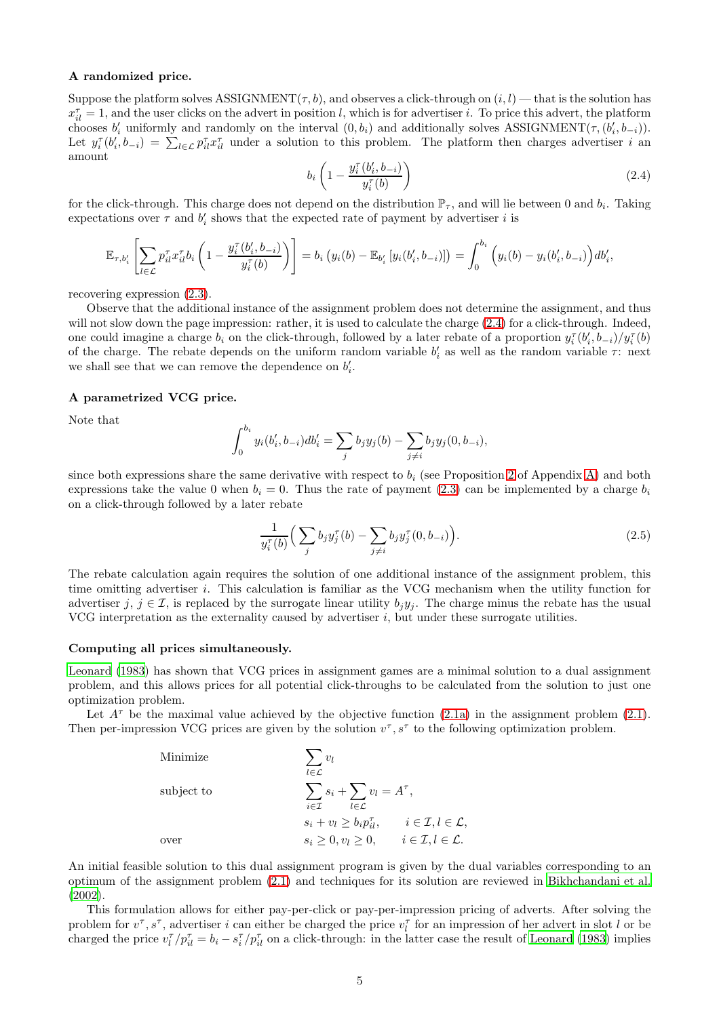#### A randomized price.

Suppose the platform solves ASSIGNMENT( $\tau$ , b), and observes a click-through on  $(i, l)$  — that is the solution has  $x_{il}^{\tau} = 1$ , and the user clicks on the advert in position l, which is for advertiser i. To price this advert, the platform chooses  $b'_i$  uniformly and randomly on the interval  $(0, b_i)$  and additionally solves ASSIGNMENT $(\tau, (b'_i, b_{-i}))$ . Let  $y_i^{\tau}(b'_i, b_{-i}) = \sum_{l \in \mathcal{L}} p_{il}^{\tau} x_{il}^{\tau}$  under a solution to this problem. The platform then charges advertiser i an amount

<span id="page-4-0"></span>
$$
b_i\left(1-\frac{y_i^{\tau}(b_i',b_{-i})}{y_i^{\tau}(b)}\right) \tag{2.4}
$$

for the click-through. This charge does not depend on the distribution  $\mathbb{P}_{\tau}$ , and will lie between 0 and  $b_i$ . Taking expectations over  $\tau$  and  $b'_i$  shows that the expected rate of payment by advertiser i is

$$
\mathbb{E}_{\tau,b'_i} \left[ \sum_{l \in \mathcal{L}} p_{il}^{\tau} x_{il}^{\tau} b_i \left( 1 - \frac{y_i^{\tau}(b'_i, b_{-i})}{y_i^{\tau}(b)} \right) \right] = b_i \left( y_i(b) - \mathbb{E}_{b'_i} \left[ y_i(b'_i, b_{-i}) \right] \right) = \int_0^{b_i} \left( y_i(b) - y_i(b'_i, b_{-i}) \right) db'_i,
$$

recovering expression [\(2.3\)](#page-3-5).

Observe that the additional instance of the assignment problem does not determine the assignment, and thus will not slow down the page impression: rather, it is used to calculate the charge  $(2.4)$  for a click-through. Indeed, one could imagine a charge  $b_i$  on the click-through, followed by a later rebate of a proportion  $y_i^{\tau}(b'_i, b_{-i})/y_i^{\tau}(b)$ of the charge. The rebate depends on the uniform random variable  $b'_i$  as well as the random variable  $\tau$ : next we shall see that we can remove the dependence on  $b_i'$ .

#### A parametrized VCG price.

Note that

$$
\int_0^{b_i} y_i(b'_i, b_{-i}) db'_i = \sum_j b_j y_j(b) - \sum_{j \neq i} b_j y_j(0, b_{-i}),
$$

since both expressions share the same derivative with respect to  $b_i$  (see Proposition [2](#page-22-0) of Appendix [A\)](#page-19-3) and both expressions take the value 0 when  $b_i = 0$ . Thus the rate of payment [\(2.3\)](#page-3-5) can be implemented by a charge  $b_i$ on a click-through followed by a later rebate

<span id="page-4-1"></span>
$$
\frac{1}{y_i^{\tau}(b)} \Big( \sum_j b_j y_j^{\tau}(b) - \sum_{j \neq i} b_j y_j^{\tau}(0, b_{-i}) \Big). \tag{2.5}
$$

The rebate calculation again requires the solution of one additional instance of the assignment problem, this time omitting advertiser i. This calculation is familiar as the VCG mechanism when the utility function for advertiser j, j  $\in \mathcal{I}$ , is replaced by the surrogate linear utility  $b_jy_j$ . The charge minus the rebate has the usual VCG interpretation as the externality caused by advertiser  $i$ , but under these surrogate utilities.

#### Computing all prices simultaneously.

[Leonard \(1983\)](#page-18-7) has shown that VCG prices in assignment games are a minimal solution to a dual assignment problem, and this allows prices for all potential click-throughs to be calculated from the solution to just one optimization problem.

Let  $A^{\tau}$  be the maximal value achieved by the objective function [\(2.1a\)](#page-3-6) in the assignment problem [\(2.1\)](#page-3-3). Then per-impression VCG prices are given by the solution  $v^{\tau}, s^{\tau}$  to the following optimization problem.

Minimize  
\nsubject to  
\n
$$
\sum_{l \in \mathcal{L}} v_l
$$
\n
$$
\sum_{i \in \mathcal{I}} s_i + \sum_{l \in \mathcal{L}} v_l = A^{\tau},
$$
\n
$$
s_i + v_l \ge b_i p_{il}^{\tau}, \qquad i \in \mathcal{I}, l \in \mathcal{L},
$$
\nover\n
$$
s_i \ge 0, v_l \ge 0, \qquad i \in \mathcal{I}, l \in \mathcal{L}.
$$

An initial feasible solution to this dual assignment program is given by the dual variables corresponding to an optimum of the assignment problem [\(2.1\)](#page-3-3) and techniques for its solution are reviewed in [Bikhchandani et al.](#page-17-1) [\(2002\)](#page-17-1).

This formulation allows for either pay-per-click or pay-per-impression pricing of adverts. After solving the problem for  $v^{\tau}, s^{\tau}$ , advertiser i can either be charged the price  $v_l^{\tau}$  for an impression of her advert in slot l or be charged the price  $v_l^{\tau}/p_{il}^{\tau} = b_i - s_i^{\tau}/p_{il}^{\tau}$  on a click-through: in the latter case the result of [Leonard \(1983](#page-18-7)) implies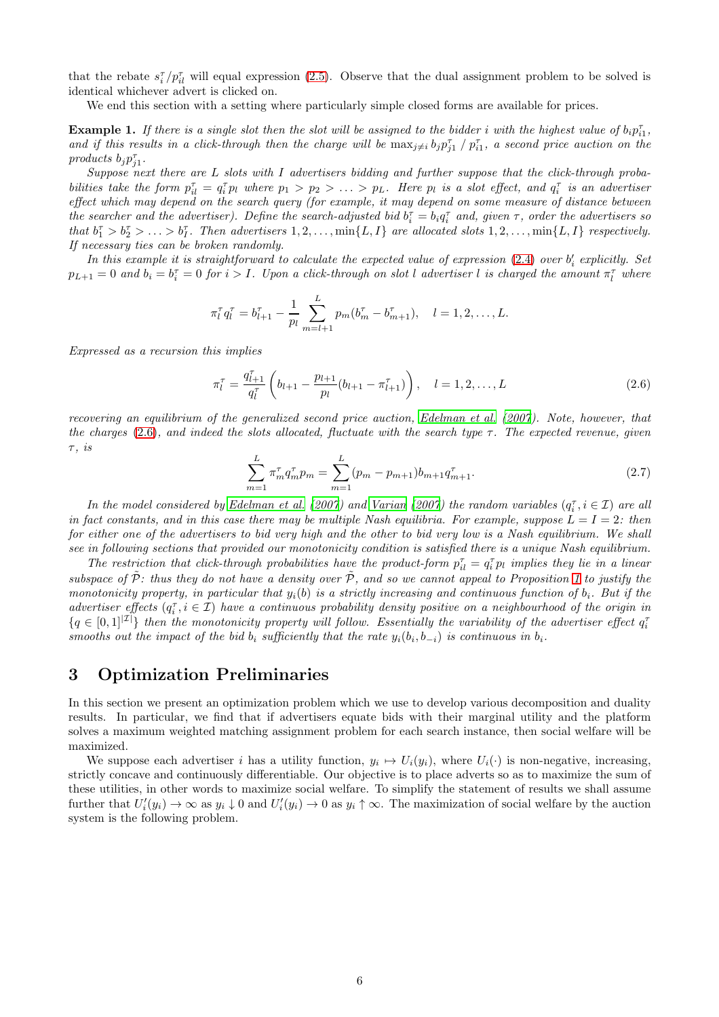that the rebate  $s_i^{\tau}/p_{il}^{\tau}$  will equal expression [\(2.5\)](#page-4-1). Observe that the dual assignment problem to be solved is identical whichever advert is clicked on.

We end this section with a setting where particularly simple closed forms are available for prices.

<span id="page-5-1"></span>**Example 1.** If there is a single slot then the slot will be assigned to the bidder i with the highest value of  $b_i p_{i1}^{\tau}$ , and if this results in a click-through then the charge will be  $\max_{j\neq i} b_j p_{j1}^{\tau} / p_{i1}^{\tau}$ , a second price auction on the products  $b_j p_{j1}^{\tau}$ .

Suppose next there are L slots with I advertisers bidding and further suppose that the click-through probabilities take the form  $p_{il}^{\tau} = q_i^{\tau} p_l$  where  $p_1 > p_2 > \ldots > p_L$ . Here  $p_l$  is a slot effect, and  $q_i^{\tau}$  is an advertiser effect which may depend on the search query (for example, it may depend on some measure of distance between the searcher and the advertiser). Define the search-adjusted bid  $b_i^{\tau} = b_i q_i^{\tau}$  and, given  $\tau$ , order the advertisers so that  $b_1^{\tau} > b_2^{\tau} > \ldots > b_I^{\tau}$ . Then advertisers  $1, 2, \ldots, \min\{L, I\}$  are allocated slots  $1, 2, \ldots, \min\{L, I\}$  respectively. If necessary ties can be broken randomly.

In this example it is straightforward to calculate the expected value of expression  $(2.4)$  over  $b_i'$  explicitly. Set  $p_{L+1} = 0$  and  $b_i = b_i^{\tau} = 0$  for  $i > I$ . Upon a click-through on slot l advertiser l is charged the amount  $\pi_l^{\tau}$  where

$$
\pi_l^{\tau} q_l^{\tau} = b_{l+1}^{\tau} - \frac{1}{p_l} \sum_{m=l+1}^{L} p_m (b_m^{\tau} - b_{m+1}^{\tau}), \quad l = 1, 2, \dots, L.
$$

Expressed as a recursion this implies

<span id="page-5-2"></span>
$$
\pi_l^{\tau} = \frac{q_{l+1}^{\tau}}{q_l^{\tau}} \left( b_{l+1} - \frac{p_{l+1}}{p_l} (b_{l+1} - \pi_{l+1}^{\tau}) \right), \quad l = 1, 2, \dots, L
$$
\n(2.6)

recovering an equilibrium of the generalized second price auction, [Edelman et al. \(2007](#page-18-1)). Note, however, that the charges [\(2.6\)](#page-5-2), and indeed the slots allocated, fluctuate with the search type  $\tau$ . The expected revenue, given  $\tau$ , is

<span id="page-5-3"></span>
$$
\sum_{m=1}^{L} \pi_m^{\tau} q_m^{\tau} p_m = \sum_{m=1}^{L} (p_m - p_{m+1}) b_{m+1} q_{m+1}^{\tau}.
$$
\n(2.7)

In the model considered by [Edelman et al. \(2007](#page-18-1)) and [Varian \(2007\)](#page-19-0) the random variables  $(q_i^{\tau}, i \in \mathcal{I})$  are all in fact constants, and in this case there may be multiple Nash equilibria. For example, suppose  $L = I = 2$ : then for either one of the advertisers to bid very high and the other to bid very low is a Nash equilibrium. We shall see in following sections that provided our monotonicity condition is satisfied there is a unique Nash equilibrium.

The restriction that click-through probabilities have the product-form  $p_{il}^{\tau} = q_i^{\tau} p_l$  implies they lie in a linear subspace of  $\tilde{\mathcal{P}}$ : thus they do not have a density over  $\tilde{\mathcal{P}}$ , and so we cannot appeal to Proposition [1](#page-3-4) to justify the monotonicity property, in particular that  $y_i(b)$  is a strictly increasing and continuous function of  $b_i$ . But if the advertiser effects  $(q_i^{\tau}, i \in \mathcal{I})$  have a continuous probability density positive on a neighbourhood of the origin in  $\{q \in [0,1]^{|\mathcal{I}|}\}\)$  then the monotonicity property will follow. Essentially the variability of the advertiser effect  $q_i^{\tau}$ smooths out the impact of the bid  $b_i$  sufficiently that the rate  $y_i(b_i, b_{-i})$  is continuous in  $b_i$ .

## <span id="page-5-0"></span>3 Optimization Preliminaries

In this section we present an optimization problem which we use to develop various decomposition and duality results. In particular, we find that if advertisers equate bids with their marginal utility and the platform solves a maximum weighted matching assignment problem for each search instance, then social welfare will be maximized.

We suppose each advertiser i has a utility function,  $y_i \mapsto U_i(y_i)$ , where  $U_i(\cdot)$  is non-negative, increasing, strictly concave and continuously differentiable. Our objective is to place adverts so as to maximize the sum of these utilities, in other words to maximize social welfare. To simplify the statement of results we shall assume further that  $U_i'(y_i) \to \infty$  as  $y_i \downarrow 0$  and  $U_i'(y_i) \to 0$  as  $y_i \uparrow \infty$ . The maximization of social welfare by the auction system is the following problem.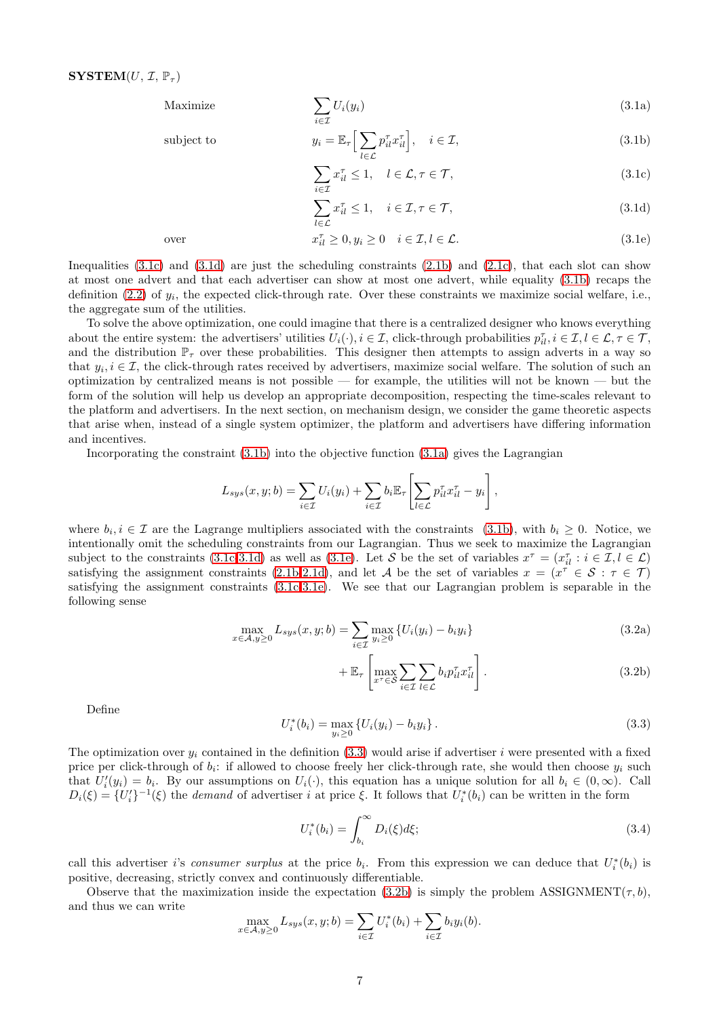<span id="page-6-7"></span>Maximize 
$$
\sum_{i \in \mathcal{I}} U_i(y_i)
$$
 (3.1a)

subject to 
$$
y_i = \mathbb{E}_{\tau} \Big[ \sum_{l \in \mathcal{L}} p_{il}^{\tau} x_{il}^{\tau} \Big], \quad i \in \mathcal{I},
$$
 (3.1b)

<span id="page-6-3"></span><span id="page-6-2"></span><span id="page-6-0"></span>
$$
\sum_{i \in \mathcal{I}} x_{il}^{\tau} \le 1, \quad l \in \mathcal{L}, \tau \in \mathcal{T}, \tag{3.1c}
$$

<span id="page-6-4"></span><span id="page-6-1"></span>
$$
\sum_{l \in \mathcal{L}} x_{il}^{\tau} \le 1, \quad i \in \mathcal{I}, \tau \in \mathcal{T}, \tag{3.1d}
$$

over 
$$
x_{il}^{\tau} \ge 0, y_i \ge 0 \quad i \in \mathcal{I}, l \in \mathcal{L}.
$$
 (3.1e)

Inequalities [\(3.1c\)](#page-6-0) and [\(3.1d\)](#page-6-1) are just the scheduling constraints [\(2.1b\)](#page-3-1) and [\(2.1c\)](#page-3-2), that each slot can show at most one advert and that each advertiser can show at most one advert, while equality [\(3.1b\)](#page-6-2) recaps the definition  $(2.2)$  of  $y_i$ , the expected click-through rate. Over these constraints we maximize social welfare, i.e., the aggregate sum of the utilities.

To solve the above optimization, one could imagine that there is a centralized designer who knows everything about the entire system: the advertisers' utilities  $U_i(\cdot), i \in \mathcal{I}$ , click-through probabilities  $p_{il}^{\tau}, i \in \mathcal{I}, l \in \mathcal{L}, \tau \in \mathcal{T}$ , and the distribution  $\mathbb{P}_{\tau}$  over these probabilities. This designer then attempts to assign adverts in a way so that  $y_i, i \in \mathcal{I}$ , the click-through rates received by advertisers, maximize social welfare. The solution of such an optimization by centralized means is not possible — for example, the utilities will not be known — but the form of the solution will help us develop an appropriate decomposition, respecting the time-scales relevant to the platform and advertisers. In the next section, on mechanism design, we consider the game theoretic aspects that arise when, instead of a single system optimizer, the platform and advertisers have differing information and incentives.

Incorporating the constraint [\(3.1b\)](#page-6-2) into the objective function [\(3.1a\)](#page-6-3) gives the Lagrangian

$$
L_{sys}(x, y; b) = \sum_{i \in \mathcal{I}} U_i(y_i) + \sum_{i \in \mathcal{I}} b_i \mathbb{E}_{\tau} \left[ \sum_{l \in \mathcal{L}} p_{il}^{\tau} x_{il}^{\tau} - y_i \right],
$$

where  $b_i, i \in \mathcal{I}$  are the Lagrange multipliers associated with the constraints [\(3.1b\)](#page-6-2), with  $b_i \geq 0$ . Notice, we intentionally omit the scheduling constraints from our Lagrangian. Thus we seek to maximize the Lagrangian subject to the constraints [\(3.1c-](#page-6-0)[3.1d\)](#page-6-1) as well as [\(3.1e\)](#page-6-4). Let S be the set of variables  $x^{\tau} = (x_{il}^{\tau} : i \in \mathcal{I}, l \in \mathcal{L})$ satisfying the assignment constraints [\(2.1b](#page-3-1)[-2.1d\)](#page-3-8), and let A be the set of variables  $x = (x^{\tau} \in S : \tau \in \mathcal{T})$ satisfying the assignment constraints [\(3.1c](#page-6-0)[-3.1e\)](#page-6-4). We see that our Lagrangian problem is separable in the following sense

$$
\max_{x \in \mathcal{A}, y \ge 0} L_{sys}(x, y; b) = \sum_{i \in \mathcal{I}} \max_{y_i \ge 0} \{ U_i(y_i) - b_i y_i \}
$$
\n(3.2a)

<span id="page-6-6"></span>
$$
+\mathbb{E}_{\tau}\left[\max_{x^{\tau}\in\mathcal{S}}\sum_{i\in\mathcal{I}}\sum_{l\in\mathcal{L}}b_{i}p_{il}^{\tau}x_{il}^{\tau}\right].
$$
\n(3.2b)

Define

<span id="page-6-5"></span>
$$
U_i^*(b_i) = \max_{y_i \ge 0} \{ U_i(y_i) - b_i y_i \}.
$$
\n(3.3)

The optimization over  $y_i$  contained in the definition [\(3.3\)](#page-6-5) would arise if advertiser i were presented with a fixed price per click-through of  $b_i$ : if allowed to choose freely her click-through rate, she would then choose  $y_i$  such that  $U_i'(y_i) = b_i$ . By our assumptions on  $U_i(\cdot)$ , this equation has a unique solution for all  $b_i \in (0, \infty)$ . Call  $D_i(\xi) = \{U'_i\}^{-1}(\xi)$  the demand of advertiser i at price  $\xi$ . It follows that  $U_i^*(b_i)$  can be written in the form

<span id="page-6-8"></span>
$$
U_i^*(b_i) = \int_{b_i}^{\infty} D_i(\xi) d\xi; \tag{3.4}
$$

call this advertiser i's consumer surplus at the price  $b_i$ . From this expression we can deduce that  $U_i^*(b_i)$  is positive, decreasing, strictly convex and continuously differentiable.

Observe that the maximization inside the expectation [\(3.2b\)](#page-6-6) is simply the problem ASSIGNMENT( $\tau$ , b), and thus we can write

$$
\max_{x \in \mathcal{A}, y \ge 0} L_{sys}(x, y; b) = \sum_{i \in \mathcal{I}} U_i^*(b_i) + \sum_{i \in \mathcal{I}} b_i y_i(b).
$$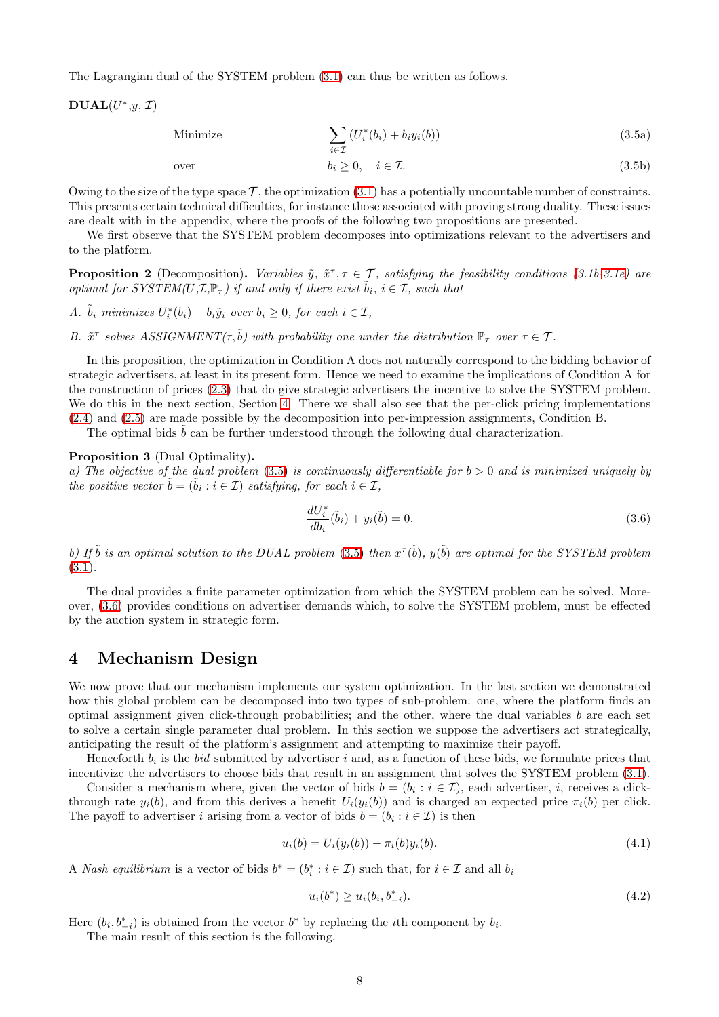The Lagrangian dual of the SYSTEM problem [\(3.1\)](#page-6-7) can thus be written as follows.

 $\mathbf{DUAL}(U^*,y,\mathcal{I})$ 

<span id="page-7-1"></span>Minimize 
$$
\sum_{i \in \mathcal{I}} \left( U_i^*(b_i) + b_i y_i(b) \right) \tag{3.5a}
$$

over 
$$
b_i \geq 0, \quad i \in \mathcal{I}.\tag{3.5b}
$$

Owing to the size of the type space  $\mathcal{T}$ , the optimization [\(3.1\)](#page-6-7) has a potentially uncountable number of constraints. This presents certain technical difficulties, for instance those associated with proving strong duality. These issues are dealt with in the appendix, where the proofs of the following two propositions are presented.

We first observe that the SYSTEM problem decomposes into optimizations relevant to the advertisers and to the platform.

<span id="page-7-5"></span>**Proposition 2** (Decomposition). Variables  $\tilde{y}$ ,  $\tilde{x}^{\tau}$ ,  $\tau \in \mathcal{T}$ , satisfying the feasibility conditions [\(3.1b](#page-6-2)[-3.1e\)](#page-6-4) are optimal for SYSTEM(U, $\mathcal{I}, \mathbb{P}_{\tau}$ ) if and only if there exist  $\tilde{b}_i, i \in \mathcal{I}$ , such that

A.  $\tilde{b}_i$  minimizes  $U_i^*(b_i) + b_i \tilde{y}_i$  over  $b_i \geq 0$ , for each  $i \in \mathcal{I}$ ,

B.  $\tilde{x}^{\tau}$  solves ASSIGNMENT( $\tau, \tilde{b}$ ) with probability one under the distribution  $\mathbb{P}_{\tau}$  over  $\tau \in \mathcal{T}$ .

In this proposition, the optimization in Condition A does not naturally correspond to the bidding behavior of strategic advertisers, at least in its present form. Hence we need to examine the implications of Condition A for the construction of prices [\(2.3\)](#page-3-5) that do give strategic advertisers the incentive to solve the SYSTEM problem. We do this in the next section, Section [4.](#page-7-0) There we shall also see that the per-click pricing implementations [\(2.4\)](#page-4-0) and [\(2.5\)](#page-4-1) are made possible by the decomposition into per-impression assignments, Condition B.

The optimal bids  $b$  can be further understood through the following dual characterization.

#### <span id="page-7-3"></span>Proposition 3 (Dual Optimality).

a) The objective of the dual problem  $(3.5)$  is continuously differentiable for  $b > 0$  and is minimized uniquely by the positive vector  $\tilde{b} = (\tilde{b}_i : i \in \mathcal{I})$  satisfying, for each  $i \in \mathcal{I}$ ,

<span id="page-7-2"></span>
$$
\frac{dU_i^*}{db_i}(\tilde{b}_i) + y_i(\tilde{b}) = 0.
$$
\n(3.6)

b) If  $\tilde{b}$  is an optimal solution to the DUAL problem [\(3.5\)](#page-7-1) then  $x^{\tau}(\tilde{b})$ ,  $y(\tilde{b})$  are optimal for the SYSTEM problem  $(3.1).$  $(3.1).$ 

The dual provides a finite parameter optimization from which the SYSTEM problem can be solved. Moreover, [\(3.6\)](#page-7-2) provides conditions on advertiser demands which, to solve the SYSTEM problem, must be effected by the auction system in strategic form.

### <span id="page-7-0"></span>4 Mechanism Design

We now prove that our mechanism implements our system optimization. In the last section we demonstrated how this global problem can be decomposed into two types of sub-problem: one, where the platform finds an optimal assignment given click-through probabilities; and the other, where the dual variables  $b$  are each set to solve a certain single parameter dual problem. In this section we suppose the advertisers act strategically, anticipating the result of the platform's assignment and attempting to maximize their payoff.

Henceforth  $b_i$  is the bid submitted by advertiser i and, as a function of these bids, we formulate prices that incentivize the advertisers to choose bids that result in an assignment that solves the SYSTEM problem [\(3.1\)](#page-6-7).

Consider a mechanism where, given the vector of bids  $b = (b_i : i \in \mathcal{I})$ , each advertiser, i, receives a clickthrough rate  $y_i(b)$ , and from this derives a benefit  $U_i(y_i(b))$  and is charged an expected price  $\pi_i(b)$  per click. The payoff to advertiser i arising from a vector of bids  $b = (b_i : i \in \mathcal{I})$  is then

<span id="page-7-4"></span>
$$
u_i(b) = U_i(y_i(b)) - \pi_i(b)y_i(b). \tag{4.1}
$$

A Nash equilibrium is a vector of bids  $b^* = (b_i^* : i \in \mathcal{I})$  such that, for  $i \in \mathcal{I}$  and all  $b_i$ 

<span id="page-7-6"></span>
$$
u_i(b^*) \ge u_i(b_i, b_{-i}^*). \tag{4.2}
$$

Here  $(b_i, b_{-i}^*)$  is obtained from the vector  $b^*$  by replacing the *i*th component by  $b_i$ .

The main result of this section is the following.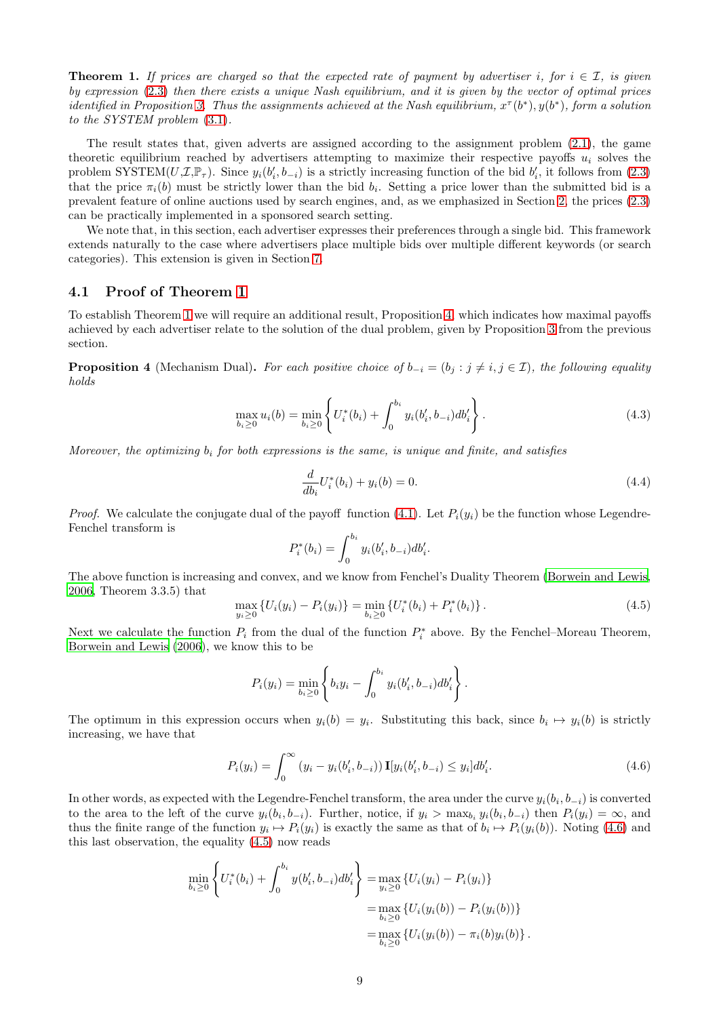<span id="page-8-0"></span>**Theorem 1.** If prices are charged so that the expected rate of payment by advertiser i, for  $i \in \mathcal{I}$ , is given by expression [\(2.3\)](#page-3-5) then there exists a unique Nash equilibrium, and it is given by the vector of optimal prices identified in Proposition [3.](#page-7-3) Thus the assignments achieved at the Nash equilibrium,  $x^{\tau}(b^*), y(b^*),$  form a solution to the SYSTEM problem [\(3.1\)](#page-6-7).

The result states that, given adverts are assigned according to the assignment problem [\(2.1\)](#page-3-3), the game theoretic equilibrium reached by advertisers attempting to maximize their respective payoffs  $u_i$  solves the problem SYSTEM $(U, \mathcal{I}, \mathbb{P}_{\tau})$ . Since  $y_i(b'_i, b_{-i})$  is a strictly increasing function of the bid  $b'_i$ , it follows from  $(2.3)$ that the price  $\pi_i(b)$  must be strictly lower than the bid  $b_i$ . Setting a price lower than the submitted bid is a prevalent feature of online auctions used by search engines, and, as we emphasized in Section [2,](#page-2-0) the prices [\(2.3\)](#page-3-5) can be practically implemented in a sponsored search setting.

We note that, in this section, each advertiser expresses their preferences through a single bid. This framework extends naturally to the case where advertisers place multiple bids over multiple different keywords (or search categories). This extension is given in Section [7.](#page-12-0)

### 4.1 Proof of Theorem [1](#page-8-0)

To establish Theorem [1](#page-8-0) we will require an additional result, Proposition [4,](#page-8-1) which indicates how maximal payoffs achieved by each advertiser relate to the solution of the dual problem, given by Proposition [3](#page-7-3) from the previous section.

<span id="page-8-1"></span>**Proposition 4** (Mechanism Dual). For each positive choice of  $b_{-i} = (b_j : j \neq i, j \in \mathcal{I})$ , the following equality holds

$$
\max_{b_i \ge 0} u_i(b) = \min_{b_i \ge 0} \left\{ U_i^*(b_i) + \int_0^{b_i} y_i(b_i', b_{-i}) db_i' \right\}.
$$
\n(4.3)

Moreover, the optimizing  $b_i$  for both expressions is the same, is unique and finite, and satisfies

<span id="page-8-5"></span><span id="page-8-4"></span>
$$
\frac{d}{db_i}U_i^*(b_i) + y_i(b) = 0.
$$
\n(4.4)

*Proof.* We calculate the conjugate dual of the payoff function [\(4.1\)](#page-7-4). Let  $P_i(y_i)$  be the function whose Legendre-Fenchel transform is

$$
P_i^*(b_i) = \int_0^{b_i} y_i(b'_i, b_{-i}) db'_i.
$$

The above function is increasing and convex, and we know from Fenchel's Duality Theorem [\(Borwein and Lewis,](#page-17-2) [2006,](#page-17-2) Theorem 3.3.5) that

<span id="page-8-3"></span>
$$
\max_{y_i \ge 0} \{ U_i(y_i) - P_i(y_i) \} = \min_{b_i \ge 0} \{ U_i^*(b_i) + P_i^*(b_i) \}.
$$
\n(4.5)

Next we calculate the function  $P_i$  from the dual of the function  $P_i^*$  above. By the Fenchel–Moreau Theorem, [Borwein and Lewis \(2006\)](#page-17-2), we know this to be

<span id="page-8-2"></span>
$$
P_i(y_i) = \min_{b_i \geq 0} \left\{ b_i y_i - \int_0^{b_i} y_i(b'_i, b_{-i}) db'_i \right\}.
$$

The optimum in this expression occurs when  $y_i(b) = y_i$ . Substituting this back, since  $b_i \mapsto y_i(b)$  is strictly increasing, we have that

$$
P_i(y_i) = \int_0^\infty (y_i - y_i(b'_i, b_{-i})) \mathbf{I}[y_i(b'_i, b_{-i}) \le y_i] db'_i.
$$
 (4.6)

In other words, as expected with the Legendre-Fenchel transform, the area under the curve  $y_i(b_i, b_{-i})$  is converted to the area to the left of the curve  $y_i(b_i, b_{-i})$ . Further, notice, if  $y_i > \max_{b_i} y_i(b_i, b_{-i})$  then  $P_i(y_i) = \infty$ , and thus the finite range of the function  $y_i \mapsto P_i(y_i)$  is exactly the same as that of  $b_i \mapsto P_i(y_i(b))$ . Noting [\(4.6\)](#page-8-2) and this last observation, the equality [\(4.5\)](#page-8-3) now reads

$$
\min_{b_i \geq 0} \left\{ U_i^*(b_i) + \int_0^{b_i} y(b'_i, b_{-i}) db'_i \right\} = \max_{y_i \geq 0} \left\{ U_i(y_i) - P_i(y_i) \right\}
$$
\n
$$
= \max_{b_i \geq 0} \left\{ U_i(y_i(b)) - P_i(y_i(b)) \right\}
$$
\n
$$
= \max_{b_i \geq 0} \left\{ U_i(y_i(b)) - \pi_i(b)y_i(b) \right\}.
$$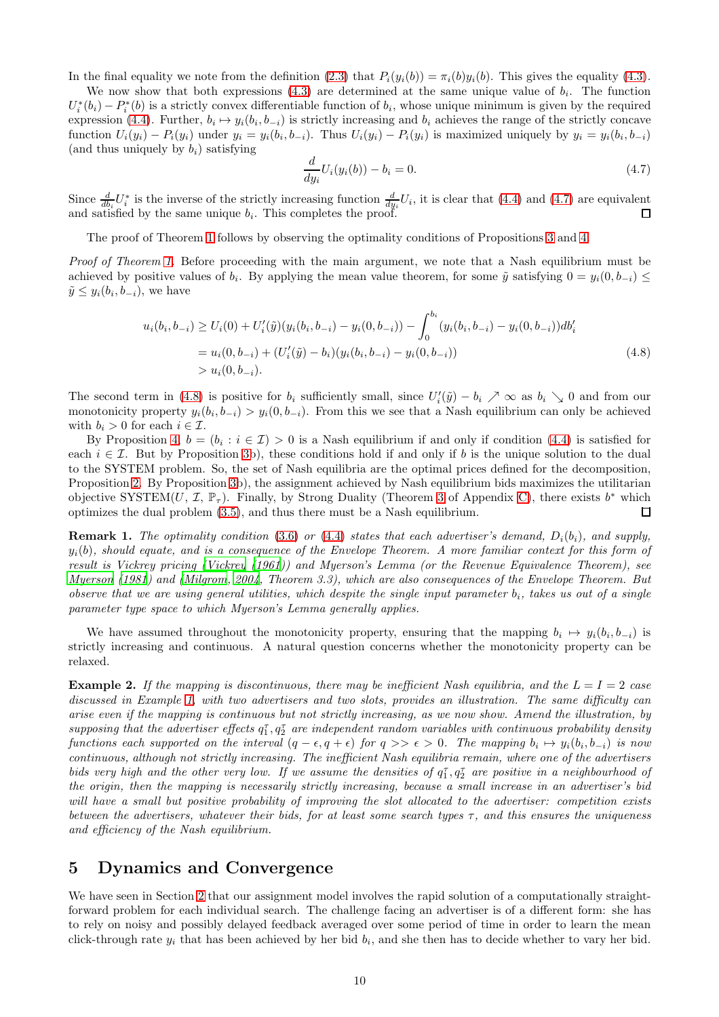In the final equality we note from the definition [\(2.3\)](#page-3-5) that  $P_i(y_i(b)) = \pi_i(b)y_i(b)$ . This gives the equality [\(4.3\)](#page-8-4).

We now show that both expressions  $(4.3)$  are determined at the same unique value of  $b_i$ . The function  $U_i^*(b_i) - P_i^*(b)$  is a strictly convex differentiable function of  $b_i$ , whose unique minimum is given by the required expression [\(4.4\)](#page-8-5). Further,  $b_i \mapsto y_i(b_i, b_{-i})$  is strictly increasing and  $b_i$  achieves the range of the strictly concave function  $U_i(y_i) - P_i(y_i)$  under  $y_i = y_i(b_i, b_{-i})$ . Thus  $U_i(y_i) - P_i(y_i)$  is maximized uniquely by  $y_i = y_i(b_i, b_{-i})$ (and thus uniquely by  $b_i$ ) satisfying

<span id="page-9-2"></span><span id="page-9-1"></span>
$$
\frac{d}{dy_i}U_i(y_i(b)) - b_i = 0.
$$
\n(4.7)

Since  $\frac{d}{db_i}U_i^*$  is the inverse of the strictly increasing function  $\frac{d}{dy_i}U_i$ , it is clear that [\(4.4\)](#page-8-5) and [\(4.7\)](#page-9-1) are equivalent and satisfied by the same unique  $b_i$ . This completes the proof.

The proof of Theorem [1](#page-8-0) follows by observing the optimality conditions of Propositions [3](#page-7-3) and [4.](#page-8-1)

Proof of Theorem [1.](#page-8-0) Before proceeding with the main argument, we note that a Nash equilibrium must be achieved by positive values of  $b_i$ . By applying the mean value theorem, for some  $\tilde{y}$  satisfying  $0 = y_i(0, b_{-i}) \le$  $\tilde{y} \leq y_i(b_i, b_{-i}),$  we have

$$
u_i(b_i, b_{-i}) \ge U_i(0) + U'_i(\tilde{y})(y_i(b_i, b_{-i}) - y_i(0, b_{-i})) - \int_0^{b_i} (y_i(b_i, b_{-i}) - y_i(0, b_{-i})) db'_i
$$
  
=  $u_i(0, b_{-i}) + (U'_i(\tilde{y}) - b_i)(y_i(b_i, b_{-i}) - y_i(0, b_{-i}))$   
>  $u_i(0, b_{-i}).$  (4.8)

The second term in [\(4.8\)](#page-9-2) is positive for  $b_i$  sufficiently small, since  $U_i'(\tilde{y}) - b_i \nearrow \infty$  as  $b_i \searrow 0$  and from our monotonicity property  $y_i(b_i, b_{-i}) > y_i(0, b_{-i})$ . From this we see that a Nash equilibrium can only be achieved with  $b_i > 0$  for each  $i \in \mathcal{I}$ .

By Proposition [4,](#page-8-1)  $b = (b_i : i \in \mathcal{I}) > 0$  is a Nash equilibrium if and only if condition [\(4.4\)](#page-8-5) is satisfied for each  $i \in \mathcal{I}$ . But by Proposition [3b](#page-7-3)), these conditions hold if and only if b is the unique solution to the dual to the SYSTEM problem. So, the set of Nash equilibria are the optimal prices defined for the decomposition, Proposition [2.](#page-7-5) By Proposition [3b](#page-7-3)), the assignment achieved by Nash equilibrium bids maximizes the utilitarian objective SYSTEM $(U, \mathcal{I}, \mathbb{P}_{\tau})$ . Finally, by Strong Duality (Theorem [3](#page-25-0) of Appendix [C\)](#page-24-0), there exists  $b^*$  which optimizes the dual problem [\(3.5\)](#page-7-1), and thus there must be a Nash equilibrium.  $\Box$ 

**Remark 1.** The optimality condition [\(3.6\)](#page-7-2) or [\(4.4\)](#page-8-5) states that each advertiser's demand,  $D_i(b_i)$ , and supply,  $y_i(b)$ , should equate, and is a consequence of the Envelope Theorem. A more familiar context for this form of result is Vickrey pricing [\(Vickrey \(1961\)](#page-19-4)) and Myerson's Lemma (or the Revenue Equivalence Theorem), see [Myerson \(1981](#page-18-8)) and [\(Milgrom, 2004](#page-18-9), Theorem 3.3), which are also consequences of the Envelope Theorem. But observe that we are using general utilities, which despite the single input parameter  $b_i$ , takes us out of a single parameter type space to which Myerson's Lemma generally applies.

We have assumed throughout the monotonicity property, ensuring that the mapping  $b_i \mapsto y_i(b_i, b_{-i})$  is strictly increasing and continuous. A natural question concerns whether the monotonicity property can be relaxed.

**Example 2.** If the mapping is discontinuous, there may be inefficient Nash equilibria, and the  $L = I = 2$  case discussed in Example [1,](#page-5-1) with two advertisers and two slots, provides an illustration. The same difficulty can arise even if the mapping is continuous but not strictly increasing, as we now show. Amend the illustration, by supposing that the advertiser effects  $q_1^{\tau}, q_2^{\tau}$  are independent random variables with continuous probability density functions each supported on the interval  $(q-\epsilon, q+\epsilon)$  for  $q >> \epsilon > 0$ . The mapping  $b_i \mapsto y_i(b_i, b_{-i})$  is now continuous, although not strictly increasing. The inefficient Nash equilibria remain, where one of the advertisers bids very high and the other very low. If we assume the densities of  $q_1^{\tau}, q_2^{\tau}$  are positive in a neighbourhood of the origin, then the mapping is necessarily strictly increasing, because a small increase in an advertiser's bid will have a small but positive probability of improving the slot allocated to the advertiser: competition exists between the advertisers, whatever their bids, for at least some search types  $\tau$ , and this ensures the uniqueness and efficiency of the Nash equilibrium.

## <span id="page-9-0"></span>5 Dynamics and Convergence

We have seen in Section [2](#page-2-0) that our assignment model involves the rapid solution of a computationally straightforward problem for each individual search. The challenge facing an advertiser is of a different form: she has to rely on noisy and possibly delayed feedback averaged over some period of time in order to learn the mean click-through rate  $y_i$  that has been achieved by her bid  $b_i$ , and she then has to decide whether to vary her bid.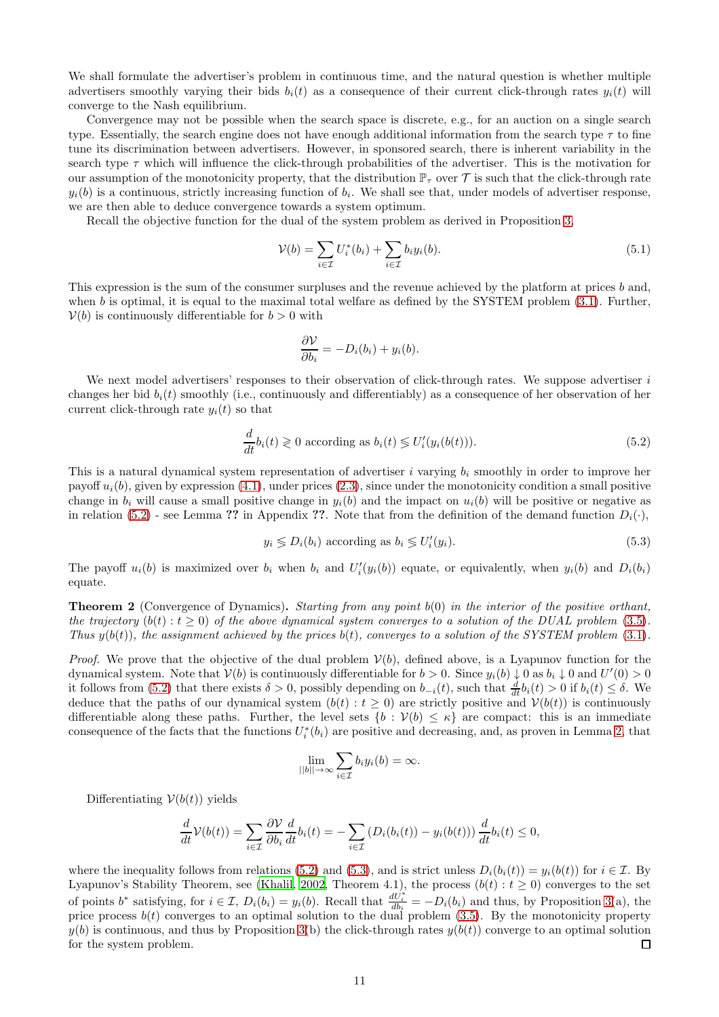We shall formulate the advertiser's problem in continuous time, and the natural question is whether multiple advertisers smoothly varying their bids  $b_i(t)$  as a consequence of their current click-through rates  $y_i(t)$  will converge to the Nash equilibrium.

Convergence may not be possible when the search space is discrete, e.g., for an auction on a single search type. Essentially, the search engine does not have enough additional information from the search type  $\tau$  to fine tune its discrimination between advertisers. However, in sponsored search, there is inherent variability in the search type  $\tau$  which will influence the click-through probabilities of the advertiser. This is the motivation for our assumption of the monotonicity property, that the distribution  $\mathbb{P}_{\tau}$  over  $\mathcal T$  is such that the click-through rate  $y_i(b)$  is a continuous, strictly increasing function of  $b_i$ . We shall see that, under models of advertiser response, we are then able to deduce convergence towards a system optimum.

Recall the objective function for the dual of the system problem as derived in Proposition [3,](#page-7-3)

<span id="page-10-2"></span>
$$
\mathcal{V}(b) = \sum_{i \in \mathcal{I}} U_i^*(b_i) + \sum_{i \in \mathcal{I}} b_i y_i(b). \tag{5.1}
$$

This expression is the sum of the consumer surpluses and the revenue achieved by the platform at prices b and, when b is optimal, it is equal to the maximal total welfare as defined by the SYSTEM problem  $(3.1)$ . Further,  $V(b)$  is continuously differentiable for  $b > 0$  with

$$
\frac{\partial \mathcal{V}}{\partial b_i} = -D_i(b_i) + y_i(b).
$$

We next model advertisers' responses to their observation of click-through rates. We suppose advertiser  $i$ changes her bid  $b_i(t)$  smoothly (i.e., continuously and differentiably) as a consequence of her observation of her current click-through rate  $y_i(t)$  so that

<span id="page-10-0"></span>
$$
\frac{d}{dt}b_i(t) \geq 0 \text{ according as } b_i(t) \leq U'_i(y_i(b(t))).\tag{5.2}
$$

This is a natural dynamical system representation of advertiser i varying  $b_i$  smoothly in order to improve her payoff  $u_i(b)$ , given by expression [\(4.1\)](#page-7-4), under prices [\(2.3\)](#page-3-5), since under the monotonicity condition a small positive change in  $b_i$  will cause a small positive change in  $y_i(b)$  and the impact on  $u_i(b)$  will be positive or negative as in relation [\(5.2\)](#page-10-0) - see Lemma ?? in Appendix ??. Note that from the definition of the demand function  $D_i(\cdot)$ ,

<span id="page-10-1"></span>
$$
y_i \lessgtr D_i(b_i) \text{ according as } b_i \lessgtr U_i'(y_i). \tag{5.3}
$$

The payoff  $u_i(b)$  is maximized over  $b_i$  when  $b_i$  and  $U_i'(y_i(b))$  equate, or equivalently, when  $y_i(b)$  and  $D_i(b_i)$ equate.

<span id="page-10-3"></span>**Theorem 2** (Convergence of Dynamics). Starting from any point  $b(0)$  in the interior of the positive orthant, the trajectory  $(b(t): t \geq 0)$  of the above dynamical system converges to a solution of the DUAL problem [\(3.5\)](#page-7-1). Thus  $y(b(t))$ , the assignment achieved by the prices  $b(t)$ , converges to a solution of the SYSTEM problem [\(3.1\)](#page-6-7).

*Proof.* We prove that the objective of the dual problem  $V(b)$ , defined above, is a Lyapunov function for the dynamical system. Note that  $V(b)$  is continuously differentiable for  $b > 0$ . Since  $y_i(b) \downarrow 0$  as  $b_i \downarrow 0$  and  $U'(0) > 0$ it follows from [\(5.2\)](#page-10-0) that there exists  $\delta > 0$ , possibly depending on  $b_{-i}(t)$ , such that  $\frac{d}{dt}b_i(t) > 0$  if  $b_i(t) \leq \delta$ . We deduce that the paths of our dynamical system  $(b(t): t \ge 0)$  are strictly positive and  $V(b(t))$  is continuously differentiable along these paths. Further, the level sets  $\{b : \mathcal{V}(b) \leq \kappa\}$  are compact: this is an immediate consequence of the facts that the functions  $U_i^*(b_i)$  are positive and decreasing, and, as proven in Lemma [2,](#page-22-0) that

$$
\lim_{||b|| \to \infty} \sum_{i \in \mathcal{I}} b_i y_i(b) = \infty.
$$

Differentiating  $V(b(t))$  yields

$$
\frac{d}{dt}\mathcal{V}(b(t)) = \sum_{i\in\mathcal{I}}\frac{\partial\mathcal{V}}{\partial b_i}\frac{d}{dt}b_i(t) = -\sum_{i\in\mathcal{I}}\left(D_i(b_i(t)) - y_i(b(t))\right)\frac{d}{dt}b_i(t) \leq 0,
$$

where the inequality follows from relations [\(5.2\)](#page-10-0) and [\(5.3\)](#page-10-1), and is strict unless  $D_i(b_i(t)) = y_i(b(t))$  for  $i \in \mathcal{I}$ . By Lyapunov's Stability Theorem, see [\(Khalil](#page-18-10), [2002,](#page-18-10) Theorem 4.1), the process  $(b(t): t \geq 0)$  converges to the set of points  $b^*$  satisfying, for  $i \in \mathcal{I}$ ,  $D_i(b_i) = y_i(b)$ . Recall that  $\frac{dU_i^*}{db_i} = -D_i(b_i)$  and thus, by Proposition [3\(](#page-7-3)a), the price process  $b(t)$  converges to an optimal solution to the dual problem [\(3.5\)](#page-7-1). By the monotonicity property  $y(b)$  is continuous, and thus by Proposition [3\(](#page-7-3)b) the click-through rates  $y(b(t))$  converge to an optimal solution for the system problem.  $\Box$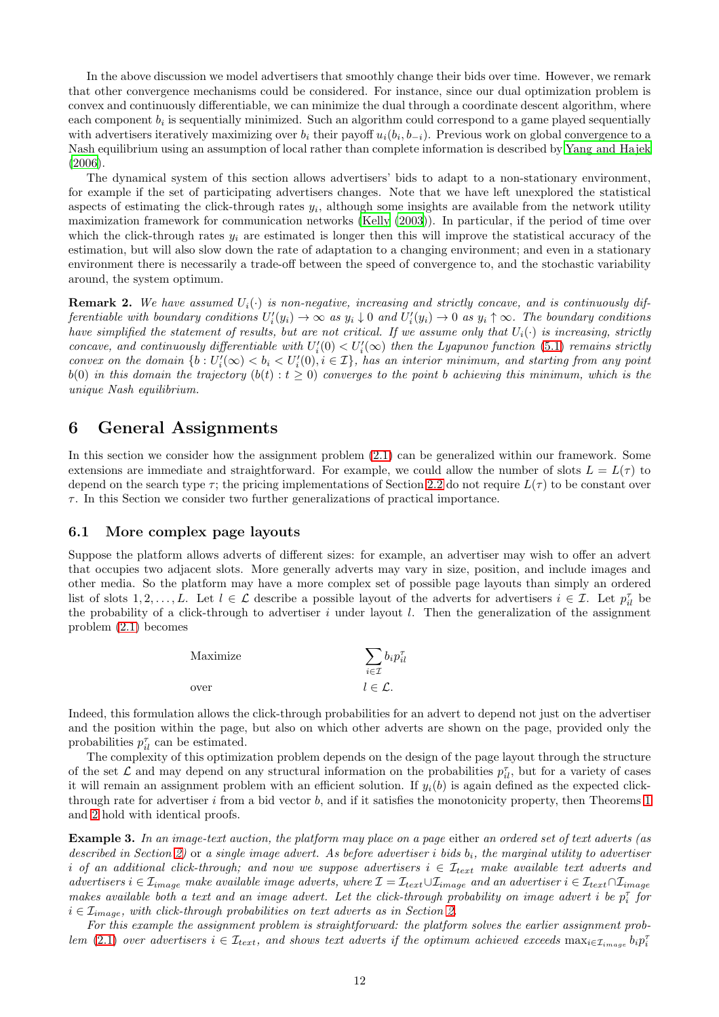In the above discussion we model advertisers that smoothly change their bids over time. However, we remark that other convergence mechanisms could be considered. For instance, since our dual optimization problem is convex and continuously differentiable, we can minimize the dual through a coordinate descent algorithm, where each component  $b_i$  is sequentially minimized. Such an algorithm could correspond to a game played sequentially with advertisers iteratively maximizing over  $b_i$  their payoff  $u_i(b_i, b_{-i})$ . Previous work on global convergence to a Nash equilibrium using an assumption of local rather than complete information is described by [Yang and Hajek](#page-19-2) [\(2006\)](#page-19-2).

The dynamical system of this section allows advertisers' bids to adapt to a non-stationary environment, for example if the set of participating advertisers changes. Note that we have left unexplored the statistical aspects of estimating the click-through rates  $y_i$ , although some insights are available from the network utility maximization framework for communication networks [\(Kelly \(2003](#page-18-11))). In particular, if the period of time over which the click-through rates  $y_i$  are estimated is longer then this will improve the statistical accuracy of the estimation, but will also slow down the rate of adaptation to a changing environment; and even in a stationary environment there is necessarily a trade-off between the speed of convergence to, and the stochastic variability around, the system optimum.

**Remark 2.** We have assumed  $U_i(\cdot)$  is non-negative, increasing and strictly concave, and is continuously differentiable with boundary conditions  $U_i'(y_i) \to \infty$  as  $y_i \downarrow 0$  and  $U_i'(y_i) \to 0$  as  $y_i \uparrow \infty$ . The boundary conditions have simplified the statement of results, but are not critical. If we assume only that  $U_i(\cdot)$  is increasing, strictly concave, and continuously differentiable with  $U_i'(0) < U_i'(\infty)$  then the Lyapunov function [\(5.1\)](#page-10-2) remains strictly convex on the domain  $\{b : U_i'(\infty) < b_i < U_i'(0), i \in \mathcal{I}\}$ , has an interior minimum, and starting from any point  $b(0)$  in this domain the trajectory  $(b(t): t \geq 0)$  converges to the point b achieving this minimum, which is the unique Nash equilibrium.

### <span id="page-11-0"></span>6 General Assignments

In this section we consider how the assignment problem [\(2.1\)](#page-3-3) can be generalized within our framework. Some extensions are immediate and straightforward. For example, we could allow the number of slots  $L = L(\tau)$  to depend on the search type  $\tau$ ; the pricing implementations of Section [2.2](#page-3-0) do not require  $L(\tau)$  to be constant over  $\tau$ . In this Section we consider two further generalizations of practical importance.

#### 6.1 More complex page layouts

Suppose the platform allows adverts of different sizes: for example, an advertiser may wish to offer an advert that occupies two adjacent slots. More generally adverts may vary in size, position, and include images and other media. So the platform may have a more complex set of possible page layouts than simply an ordered list of slots  $1, 2, ..., L$ . Let  $l \in \mathcal{L}$  describe a possible layout of the adverts for advertisers  $i \in \mathcal{I}$ . Let  $p_{il}^{\tau}$  be the probability of a click-through to advertiser i under layout  $l$ . Then the generalization of the assignment problem [\(2.1\)](#page-3-3) becomes

| Maximize | $\partial_i p_{il}^{\tau}$<br>$i \in \mathcal{I}$ |
|----------|---------------------------------------------------|
| over     | $l \in \mathcal{L}$ .                             |

Indeed, this formulation allows the click-through probabilities for an advert to depend not just on the advertiser and the position within the page, but also on which other adverts are shown on the page, provided only the probabilities  $p_{il}^{\tau}$  can be estimated.

The complexity of this optimization problem depends on the design of the page layout through the structure of the set  $\mathcal L$  and may depend on any structural information on the probabilities  $p_{il}^{\tau}$ , but for a variety of cases it will remain an assignment problem with an efficient solution. If  $y_i(b)$  is again defined as the expected clickthrough rate for advertiser  $i$  from a bid vector  $b$ , and if it satisfies the monotonicity property, then Theorems [1](#page-8-0) and [2](#page-10-3) hold with identical proofs.

Example 3. In an image-text auction, the platform may place on a page either an ordered set of text adverts (as described in Section [2\)](#page-2-0) or a single image advert. As before advertiser i bids  $b_i$ , the marginal utility to advertiser i of an additional click-through; and now we suppose advertisers  $i \in \mathcal{I}_{text}$  make available text adverts and advertisers  $i \in \mathcal{I}_{image}$  make available image adverts, where  $\mathcal{I} = \mathcal{I}_{text} \cup \mathcal{I}_{image}$  and an advertiser  $i \in \mathcal{I}_{text} \cap \mathcal{I}_{image}$ makes available both a text and an image advert. Let the click-through probability on image advert  $i$  be  $p_i^{\tau}$  for  $i \in \mathcal{I}_{image}$ , with click-through probabilities on text adverts as in Section [2.](#page-2-0)

For this example the assignment problem is straightforward: the platform solves the earlier assignment prob-lem [\(2.1\)](#page-3-3) over advertisers  $i \in \mathcal{I}_{text}$ , and shows text adverts if the optimum achieved exceeds  $\max_{i \in \mathcal{I}_{image}} b_i p_i^{\tau}$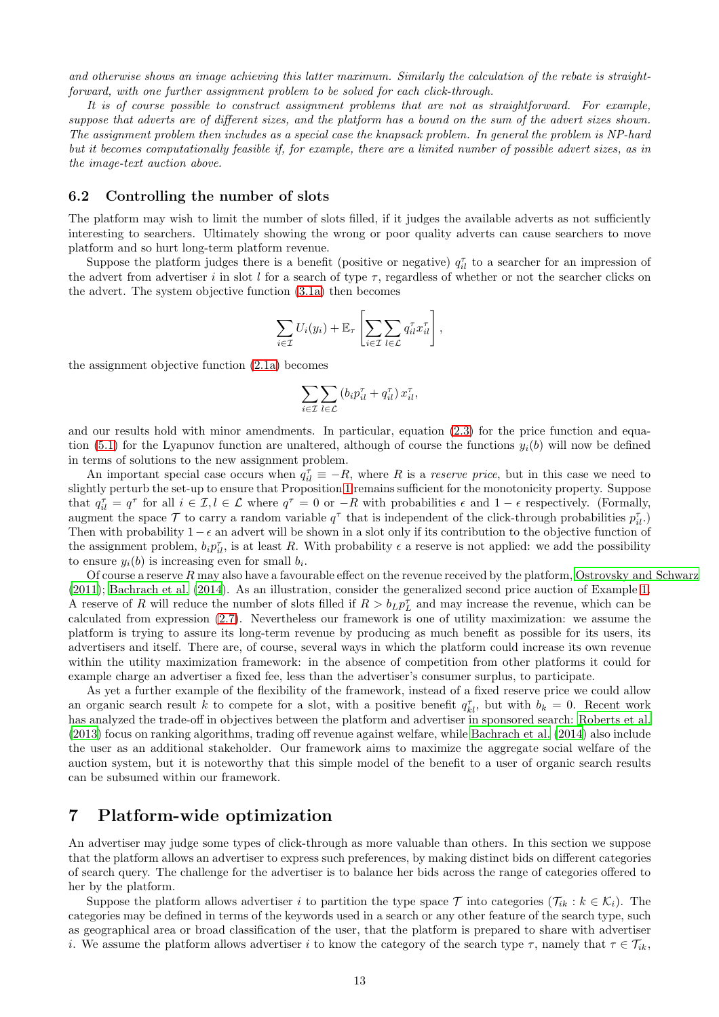and otherwise shows an image achieving this latter maximum. Similarly the calculation of the rebate is straightforward, with one further assignment problem to be solved for each click-through.

It is of course possible to construct assignment problems that are not as straightforward. For example, suppose that adverts are of different sizes, and the platform has a bound on the sum of the advert sizes shown. The assignment problem then includes as a special case the knapsack problem. In general the problem is NP-hard but it becomes computationally feasible if, for example, there are a limited number of possible advert sizes, as in the image-text auction above.

### 6.2 Controlling the number of slots

The platform may wish to limit the number of slots filled, if it judges the available adverts as not sufficiently interesting to searchers. Ultimately showing the wrong or poor quality adverts can cause searchers to move platform and so hurt long-term platform revenue.

Suppose the platform judges there is a benefit (positive or negative)  $q_{il}^{\tau}$  to a searcher for an impression of the advert from advertiser i in slot l for a search of type  $\tau$ , regardless of whether or not the searcher clicks on the advert. The system objective function [\(3.1a\)](#page-6-3) then becomes

$$
\sum_{i\in\mathcal{I}}U_i(y_i)+\mathbb{E}_{\tau}\left[\sum_{i\in\mathcal{I}}\sum_{l\in\mathcal{L}}q_{il}^{\tau}x_{il}^{\tau}\right],
$$

the assignment objective function [\(2.1a\)](#page-3-6) becomes

$$
\sum_{i \in \mathcal{I}} \sum_{l \in \mathcal{L}} \left( b_i p_{il}^{\tau} + q_{il}^{\tau} \right) x_{il}^{\tau},
$$

and our results hold with minor amendments. In particular, equation [\(2.3\)](#page-3-5) for the price function and equa-tion [\(5.1\)](#page-10-2) for the Lyapunov function are unaltered, although of course the functions  $y_i(b)$  will now be defined in terms of solutions to the new assignment problem.

An important special case occurs when  $q_{il}^{\tau} \equiv -R$ , where R is a reserve price, but in this case we need to slightly perturb the set-up to ensure that Proposition [1](#page-3-4) remains sufficient for the monotonicity property. Suppose that  $q_{il}^{\tau} = q^{\tau}$  for all  $i \in I, l \in I$  where  $q^{\tau} = 0$  or  $-R$  with probabilities  $\epsilon$  and  $1 - \epsilon$  respectively. (Formally, augment the space  $\mathcal T$  to carry a random variable  $q^{\tau}$  that is independent of the click-through probabilities  $p_{il}^{\tau}$ . Then with probability  $1 - \epsilon$  an advert will be shown in a slot only if its contribution to the objective function of the assignment problem,  $b_i p_{il}^{\tau}$ , is at least R. With probability  $\epsilon$  a reserve is not applied: we add the possibility to ensure  $y_i(b)$  is increasing even for small  $b_i$ .

Of course a reserve  $R$  may also have a favourable effect on the revenue received by the platform, [Ostrovsky and Schwarz](#page-18-12) [\(2011\)](#page-18-12); [Bachrach et al. \(2014\)](#page-17-3). As an illustration, consider the generalized second price auction of Example [1.](#page-5-1) A reserve of R will reduce the number of slots filled if  $R > b_L p_L^{\tau}$  and may increase the revenue, which can be calculated from expression [\(2.7\)](#page-5-3). Nevertheless our framework is one of utility maximization: we assume the platform is trying to assure its long-term revenue by producing as much benefit as possible for its users, its advertisers and itself. There are, of course, several ways in which the platform could increase its own revenue within the utility maximization framework: in the absence of competition from other platforms it could for example charge an advertiser a fixed fee, less than the advertiser's consumer surplus, to participate.

As yet a further example of the flexibility of the framework, instead of a fixed reserve price we could allow an organic search result k to compete for a slot, with a positive benefit  $q_{kl}^{\tau}$ , but with  $b_k = 0$ . Recent work has analyzed the trade-off in objectives between the platform and advertiser in sponsored search: [Roberts et al.](#page-19-5) [\(2013\)](#page-19-5) focus on ranking algorithms, trading off revenue against welfare, while [Bachrach et al. \(2014\)](#page-17-3) also include the user as an additional stakeholder. Our framework aims to maximize the aggregate social welfare of the auction system, but it is noteworthy that this simple model of the benefit to a user of organic search results can be subsumed within our framework.

## <span id="page-12-0"></span>7 Platform-wide optimization

An advertiser may judge some types of click-through as more valuable than others. In this section we suppose that the platform allows an advertiser to express such preferences, by making distinct bids on different categories of search query. The challenge for the advertiser is to balance her bids across the range of categories offered to her by the platform.

Suppose the platform allows advertiser i to partition the type space T into categories  $(\mathcal{T}_{ik}: k \in \mathcal{K}_i)$ . The categories may be defined in terms of the keywords used in a search or any other feature of the search type, such as geographical area or broad classification of the user, that the platform is prepared to share with advertiser i. We assume the platform allows advertiser i to know the category of the search type  $\tau$ , namely that  $\tau \in \mathcal{T}_{ik}$ ,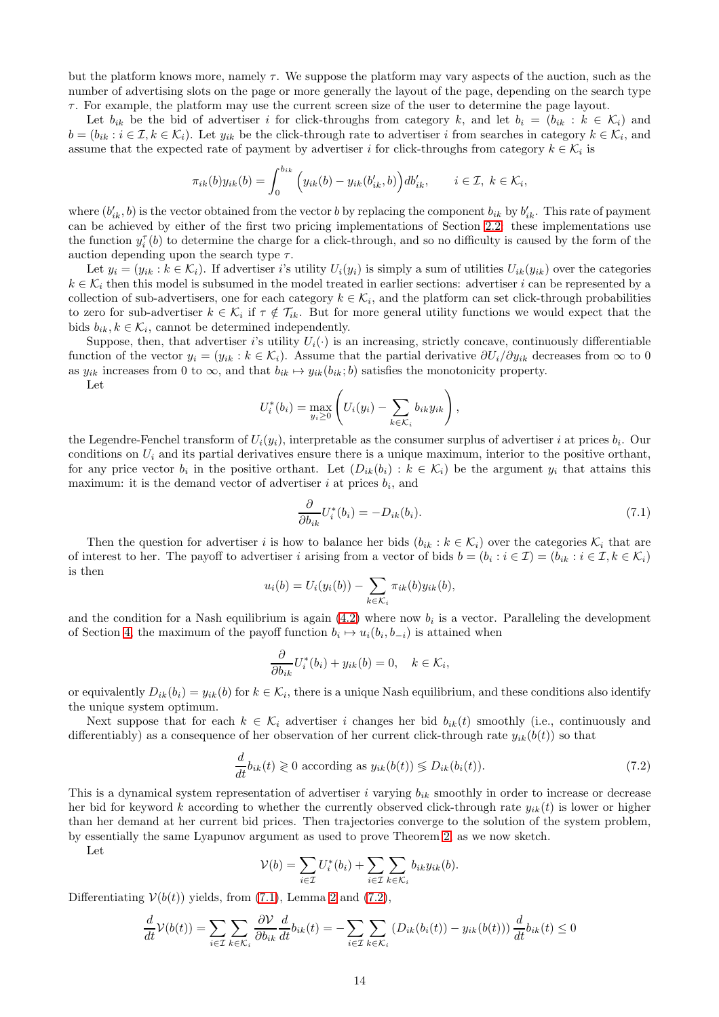but the platform knows more, namely  $\tau$ . We suppose the platform may vary aspects of the auction, such as the number of advertising slots on the page or more generally the layout of the page, depending on the search type τ. For example, the platform may use the current screen size of the user to determine the page layout.

Let  $b_{ik}$  be the bid of advertiser i for click-throughs from category k, and let  $b_i = (b_{ik} : k \in \mathcal{K}_i)$  and  $b = (b_{ik} : i \in \mathcal{I}, k \in \mathcal{K}_i)$ . Let  $y_{ik}$  be the click-through rate to advertiser i from searches in category  $k \in \mathcal{K}_i$ , and assume that the expected rate of payment by advertiser i for click-throughs from category  $k \in \mathcal{K}_i$  is

$$
\pi_{ik}(b)y_{ik}(b) = \int_0^{b_{ik}} \left(y_{ik}(b) - y_{ik}(b'_{ik}, b)\right) db'_{ik}, \quad i \in \mathcal{I}, k \in \mathcal{K}_i,
$$

where  $(b'_{ik}, b)$  is the vector obtained from the vector b by replacing the component  $b_{ik}$  by  $b'_{ik}$ . This rate of payment can be achieved by either of the first two pricing implementations of Section [2.2:](#page-3-0) these implementations use the function  $y_i^{\tau}(b)$  to determine the charge for a click-through, and so no difficulty is caused by the form of the auction depending upon the search type  $\tau$ .

Let  $y_i = (y_{ik} : k \in \mathcal{K}_i)$ . If advertiser i's utility  $U_i(y_i)$  is simply a sum of utilities  $U_{ik}(y_{ik})$  over the categories  $k \in \mathcal{K}_i$  then this model is subsumed in the model treated in earlier sections: advertiser i can be represented by a collection of sub-advertisers, one for each category  $k \in \mathcal{K}_i$ , and the platform can set click-through probabilities to zero for sub-advertiser  $k \in \mathcal{K}_i$  if  $\tau \notin \mathcal{T}_{ik}$ . But for more general utility functions we would expect that the bids  $b_{ik}, k \in \mathcal{K}_i$ , cannot be determined independently.

Suppose, then, that advertiser i's utility  $U_i(\cdot)$  is an increasing, strictly concave, continuously differentiable function of the vector  $y_i = (y_{ik} : k \in \mathcal{K}_i)$ . Assume that the partial derivative  $\partial U_i/\partial y_{ik}$  decreases from  $\infty$  to 0 as  $y_{ik}$  increases from 0 to  $\infty$ , and that  $b_{ik} \mapsto y_{ik}(b_{ik}; b)$  satisfies the monotonicity property.

Let

$$
U_i^*(b_i) = \max_{y_i \geq 0} \left( U_i(y_i) - \sum_{k \in \mathcal{K}_i} b_{ik} y_{ik} \right),
$$

the Legendre-Fenchel transform of  $U_i(y_i)$ , interpretable as the consumer surplus of advertiser i at prices  $b_i$ . Our conditions on  $U_i$  and its partial derivatives ensure there is a unique maximum, interior to the positive orthant, for any price vector  $b_i$  in the positive orthant. Let  $(D_{ik}(b_i) : k \in \mathcal{K}_i)$  be the argument  $y_i$  that attains this maximum: it is the demand vector of advertiser  $i$  at prices  $b_i$ , and

<span id="page-13-0"></span>
$$
\frac{\partial}{\partial b_{ik}} U_i^*(b_i) = -D_{ik}(b_i). \tag{7.1}
$$

Then the question for advertiser i is how to balance her bids  $(b_{ik} : k \in \mathcal{K}_i)$  over the categories  $\mathcal{K}_i$  that are of interest to her. The payoff to advertiser i arising from a vector of bids  $b = (b_i : i \in \mathcal{I}) = (b_{ik} : i \in \mathcal{I}, k \in \mathcal{K}_i)$ is then

$$
u_i(b) = U_i(y_i(b)) - \sum_{k \in \mathcal{K}_i} \pi_{ik}(b)y_{ik}(b),
$$

and the condition for a Nash equilibrium is again  $(4.2)$  where now  $b_i$  is a vector. Paralleling the development of Section [4,](#page-7-0) the maximum of the payoff function  $b_i \mapsto u_i(b_i, b_{-i})$  is attained when

$$
\frac{\partial}{\partial b_{ik}}U_i^*(b_i) + y_{ik}(b) = 0, \quad k \in \mathcal{K}_i,
$$

or equivalently  $D_{ik}(b_i) = y_{ik}(b)$  for  $k \in \mathcal{K}_i$ , there is a unique Nash equilibrium, and these conditions also identify the unique system optimum.

Next suppose that for each  $k \in \mathcal{K}_i$  advertiser i changes her bid  $b_{ik}(t)$  smoothly (i.e., continuously and differentiably) as a consequence of her observation of her current click-through rate  $y_{ik}(b(t))$  so that

<span id="page-13-1"></span>
$$
\frac{d}{dt}b_{ik}(t) \geq 0 \text{ according as } y_{ik}(b(t)) \leq D_{ik}(b_i(t)).
$$
\n(7.2)

This is a dynamical system representation of advertiser i varying  $b_{ik}$  smoothly in order to increase or decrease her bid for keyword k according to whether the currently observed click-through rate  $y_{ik}(t)$  is lower or higher than her demand at her current bid prices. Then trajectories converge to the solution of the system problem, by essentially the same Lyapunov argument as used to prove Theorem [2,](#page-10-3) as we now sketch.

Let

$$
\mathcal{V}(b) = \sum_{i \in \mathcal{I}} U_i^*(b_i) + \sum_{i \in \mathcal{I}} \sum_{k \in \mathcal{K}_i} b_{ik} y_{ik}(b).
$$

Differentiating  $V(b(t))$  yields, from [\(7.1\)](#page-13-0), Lemma [2](#page-22-0) and [\(7.2\)](#page-13-1),

$$
\frac{d}{dt}\mathcal{V}(b(t)) = \sum_{i \in \mathcal{I}} \sum_{k \in \mathcal{K}_i} \frac{\partial \mathcal{V}}{\partial b_{ik}} \frac{d}{dt} b_{ik}(t) = -\sum_{i \in \mathcal{I}} \sum_{k \in \mathcal{K}_i} \left( D_{ik}(b_i(t)) - y_{ik}(b(t)) \right) \frac{d}{dt} b_{ik}(t) \le 0
$$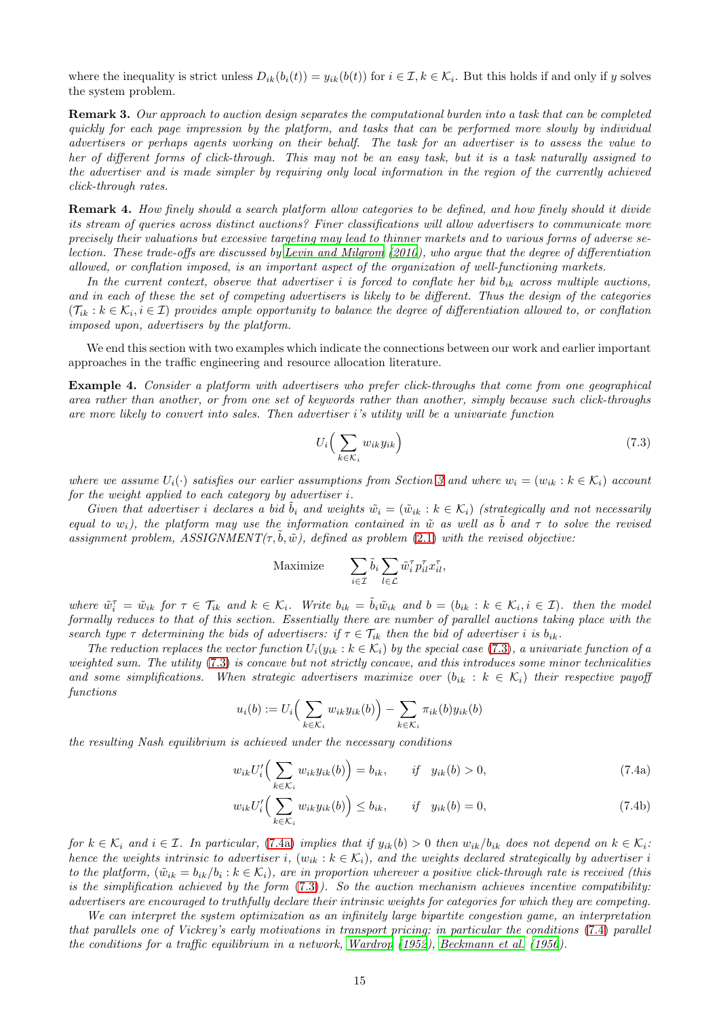where the inequality is strict unless  $D_{ik}(b_i(t)) = y_{ik}(b(t))$  for  $i \in \mathcal{I}, k \in \mathcal{K}_i$ . But this holds if and only if y solves the system problem.

Remark 3. Our approach to auction design separates the computational burden into a task that can be completed quickly for each page impression by the platform, and tasks that can be performed more slowly by individual advertisers or perhaps agents working on their behalf. The task for an advertiser is to assess the value to her of different forms of click-through. This may not be an easy task, but it is a task naturally assigned to the advertiser and is made simpler by requiring only local information in the region of the currently achieved click-through rates.

Remark 4. How finely should a search platform allow categories to be defined, and how finely should it divide its stream of queries across distinct auctions? Finer classifications will allow advertisers to communicate more precisely their valuations but excessive targeting may lead to thinner markets and to various forms of adverse selection. These trade-offs are discussed by [Levin and Milgrom](#page-18-13) [\(2010](#page-18-13)), who argue that the degree of differentiation allowed, or conflation imposed, is an important aspect of the organization of well-functioning markets.

In the current context, observe that advertiser i is forced to conflate her bid  $b_{ik}$  across multiple auctions, and in each of these the set of competing advertisers is likely to be different. Thus the design of the categories  $(\mathcal{T}_{ik}:k\in\mathcal{K}_i,i\in\mathcal{I})$  provides ample opportunity to balance the degree of differentiation allowed to, or conflation imposed upon, advertisers by the platform.

We end this section with two examples which indicate the connections between our work and earlier important approaches in the traffic engineering and resource allocation literature.

Example 4. Consider a platform with advertisers who prefer click-throughs that come from one geographical area rather than another, or from one set of keywords rather than another, simply because such click-throughs are more likely to convert into sales. Then advertiser i's utility will be a univariate function

<span id="page-14-0"></span>
$$
U_i\Big(\sum_{k\in\mathcal{K}_i} w_{ik} y_{ik}\Big) \tag{7.3}
$$

where we assume  $U_i(\cdot)$  satisfies our earlier assumptions from Section [3](#page-5-0) and where  $w_i = (w_{ik} : k \in \mathcal{K}_i)$  account for the weight applied to each category by advertiser i.

Given that advertiser i declares a bid  $\tilde{b}_i$  and weights  $\tilde{w}_i = (\tilde{w}_{ik} : k \in \mathcal{K}_i)$  (strategically and not necessarily equal to w<sub>i</sub>), the platform may use the information contained in  $\tilde{w}$  as well as b and  $\tau$  to solve the revised assignment problem,  $ASSIGNMENT(\tau, \dot{b}, \tilde{w})$ , defined as problem [\(2.1\)](#page-3-3) with the revised objective:

$$
\text{Maximize} \qquad \sum_{i \in \mathcal{I}} \tilde{b}_i \sum_{l \in \mathcal{L}} \tilde{w}_i^{\tau} p_{il}^{\tau} x_{il}^{\tau},
$$

where  $\tilde{w}_i^{\tau} = \tilde{w}_{ik}$  for  $\tau \in \mathcal{T}_{ik}$  and  $k \in \mathcal{K}_i$ . Write  $b_{ik} = \tilde{b}_i \tilde{w}_{ik}$  and  $b = (b_{ik} : k \in \mathcal{K}_i, i \in \mathcal{I})$ . then the model formally reduces to that of this section. Essentially there are number of parallel auctions taking place with the search type  $\tau$  determining the bids of advertisers: if  $\tau \in \mathcal{T}_{ik}$  then the bid of advertiser i is  $b_{ik}$ .

The reduction replaces the vector function  $U_i(y_{ik}: k \in \mathcal{K}_i)$  by the special case [\(7.3\)](#page-14-0), a univariate function of a weighted sum. The utility [\(7.3\)](#page-14-0) is concave but not strictly concave, and this introduces some minor technicalities and some simplifications. When strategic advertisers maximize over  $(b_{ik}: k \in \mathcal{K}_i)$  their respective payoff functions

<span id="page-14-2"></span>
$$
u_i(b) := U_i\Big(\sum_{k \in \mathcal{K}_i} w_{ik} y_{ik}(b)\Big) - \sum_{k \in \mathcal{K}_i} \pi_{ik}(b) y_{ik}(b)
$$

the resulting Nash equilibrium is achieved under the necessary conditions

<span id="page-14-1"></span>
$$
w_{ik}U_i'\Big(\sum_{k\in\mathcal{K}_i}w_{ik}y_{ik}(b)\Big)=b_{ik}, \qquad if \quad y_{ik}(b)>0,\tag{7.4a}
$$

$$
w_{ik}U_i'\Big(\sum_{k\in\mathcal{K}_i}w_{ik}y_{ik}(b)\Big)\le b_{ik}, \qquad if \quad y_{ik}(b)=0,
$$
\n(7.4b)

for  $k \in \mathcal{K}_i$  and  $i \in \mathcal{I}$ . In particular, [\(7.4a\)](#page-14-1) implies that if  $y_{ik}(b) > 0$  then  $w_{ik}/b_{ik}$  does not depend on  $k \in \mathcal{K}_i$ : hence the weights intrinsic to advertiser i,  $(w_{ik}: k \in \mathcal{K}_i)$ , and the weights declared strategically by advertiser i to the platform,  $(\tilde{w}_{ik} = b_{ik}/b_i : k \in \mathcal{K}_i)$ , are in proportion wherever a positive click-through rate is received (this is the simplification achieved by the form  $(7.3)$ . So the auction mechanism achieves incentive compatibility: advertisers are encouraged to truthfully declare their intrinsic weights for categories for which they are competing.

We can interpret the system optimization as an infinitely large bipartite congestion game, an interpretation that parallels one of Vickrey's early motivations in transport pricing; in particular the conditions [\(7.4\)](#page-14-2) parallel the conditions for a traffic equilibrium in a network, [Wardrop](#page-19-6) [\(1952](#page-19-6)), [Beckmann et al. \(1956](#page-17-4)).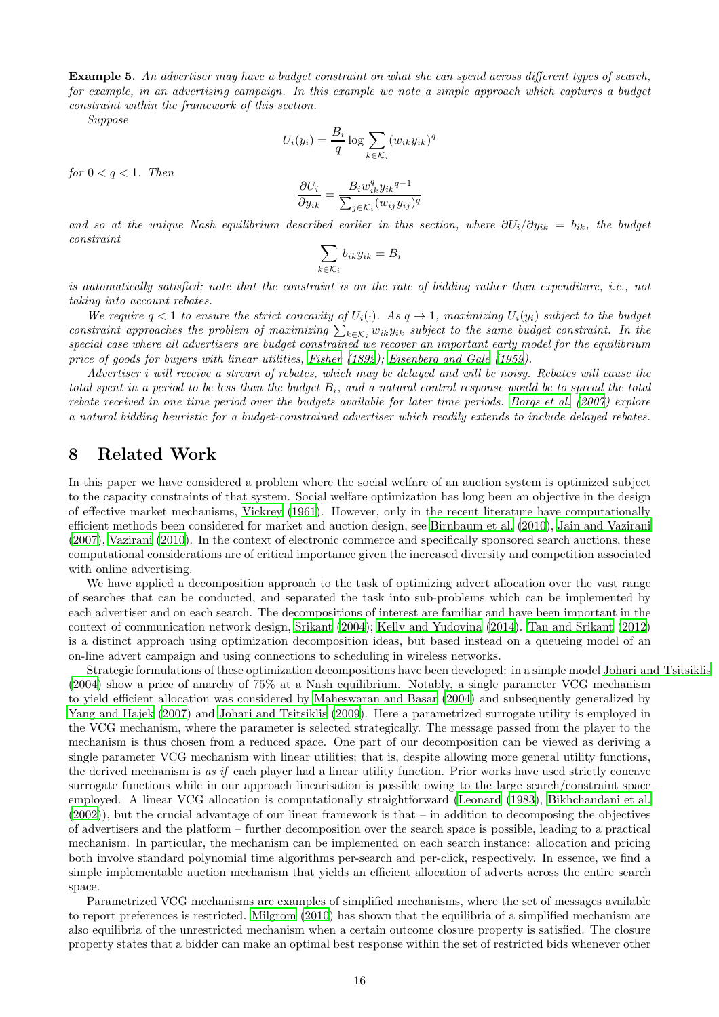Example 5. An advertiser may have a budget constraint on what she can spend across different types of search, for example, in an advertising campaign. In this example we note a simple approach which captures a budget constraint within the framework of this section.

Suppose

$$
U_i(y_i) = \frac{B_i}{q} \log \sum_{k \in \mathcal{K}_i} (w_{ik} y_{ik})^q
$$

for  $0 < q < 1$ . Then

$$
\frac{\partial U_i}{\partial y_{ik}} = \frac{B_i w_{ik}^q y_{ik}^{q-1}}{\sum_{j \in \mathcal{K}_i} (w_{ij} y_{ij})^q}
$$

and so at the unique Nash equilibrium described earlier in this section, where  $\partial U_i/\partial y_{ik} = b_{ik}$ , the budget constraint

$$
\sum_{k \in \mathcal{K}_i} b_{ik} y_{ik} = B_i
$$

is automatically satisfied; note that the constraint is on the rate of bidding rather than expenditure, i.e., not taking into account rebates.

We require  $q < 1$  to ensure the strict concavity of  $U_i(\cdot)$ . As  $q \to 1$ , maximizing  $U_i(y_i)$  subject to the budget constraint approaches the problem of maximizing  $\sum_{k \in \mathcal{K}_i} w_{ik} y_{ik}$  subject to the same budget constraint. In the special case where all advertisers are budget constrained we recover an important early model for the equilibrium price of goods for buyers with linear utilities, [Fisher \(1892\)](#page-18-14); [Eisenberg and Gale \(1959](#page-18-15)).

Advertiser i will receive a stream of rebates, which may be delayed and will be noisy. Rebates will cause the total spent in a period to be less than the budget  $B_i$ , and a natural control response would be to spread the total rebate received in one time period over the budgets available for later time periods. [Borgs et al. \(2007](#page-17-5)) explore a natural bidding heuristic for a budget-constrained advertiser which readily extends to include delayed rebates.

## <span id="page-15-0"></span>8 Related Work

In this paper we have considered a problem where the social welfare of an auction system is optimized subject to the capacity constraints of that system. Social welfare optimization has long been an objective in the design of effective market mechanisms, [Vickrey \(1961\)](#page-19-4). However, only in the recent literature have computationally efficient methods been considered for market and auction design, see [Birnbaum et al. \(2010\)](#page-17-6), [Jain and Vazirani](#page-18-16) [\(2007\)](#page-18-16), [Vazirani \(2010\)](#page-19-7). In the context of electronic commerce and specifically sponsored search auctions, these computational considerations are of critical importance given the increased diversity and competition associated with online advertising.

We have applied a decomposition approach to the task of optimizing advert allocation over the vast range of searches that can be conducted, and separated the task into sub-problems which can be implemented by each advertiser and on each search. The decompositions of interest are familiar and have been important in the context of communication network design, [Srikant \(2004](#page-19-8)); [Kelly and Yudovina \(2014\)](#page-18-17). [Tan and Srikant \(2012\)](#page-19-9) is a distinct approach using optimization decomposition ideas, but based instead on a queueing model of an on-line advert campaign and using connections to scheduling in wireless networks.

Strategic formulations of these optimization decompositions have been developed: in a simple model [Johari and Tsitsiklis](#page-18-18) [\(2004\)](#page-18-18) show a price of anarchy of 75% at a Nash equilibrium. Notably, a single parameter VCG mechanism to yield efficient allocation was considered by [Maheswaran and Basar \(2004\)](#page-18-2) and subsequently generalized by [Yang and Hajek \(2007\)](#page-19-1) and [Johari and Tsitsiklis \(2009\)](#page-18-3). Here a parametrized surrogate utility is employed in the VCG mechanism, where the parameter is selected strategically. The message passed from the player to the mechanism is thus chosen from a reduced space. One part of our decomposition can be viewed as deriving a single parameter VCG mechanism with linear utilities; that is, despite allowing more general utility functions, the derived mechanism is as if each player had a linear utility function. Prior works have used strictly concave surrogate functions while in our approach linearisation is possible owing to the large search/constraint space employed. A linear VCG allocation is computationally straightforward [\(Leonard \(1983\)](#page-18-7), [Bikhchandani et al.](#page-17-1) [\(2002\)](#page-17-1)), but the crucial advantage of our linear framework is that – in addition to decomposing the objectives of advertisers and the platform – further decomposition over the search space is possible, leading to a practical mechanism. In particular, the mechanism can be implemented on each search instance: allocation and pricing both involve standard polynomial time algorithms per-search and per-click, respectively. In essence, we find a simple implementable auction mechanism that yields an efficient allocation of adverts across the entire search space.

Parametrized VCG mechanisms are examples of simplified mechanisms, where the set of messages available to report preferences is restricted. [Milgrom \(2010](#page-18-0)) has shown that the equilibria of a simplified mechanism are also equilibria of the unrestricted mechanism when a certain outcome closure property is satisfied. The closure property states that a bidder can make an optimal best response within the set of restricted bids whenever other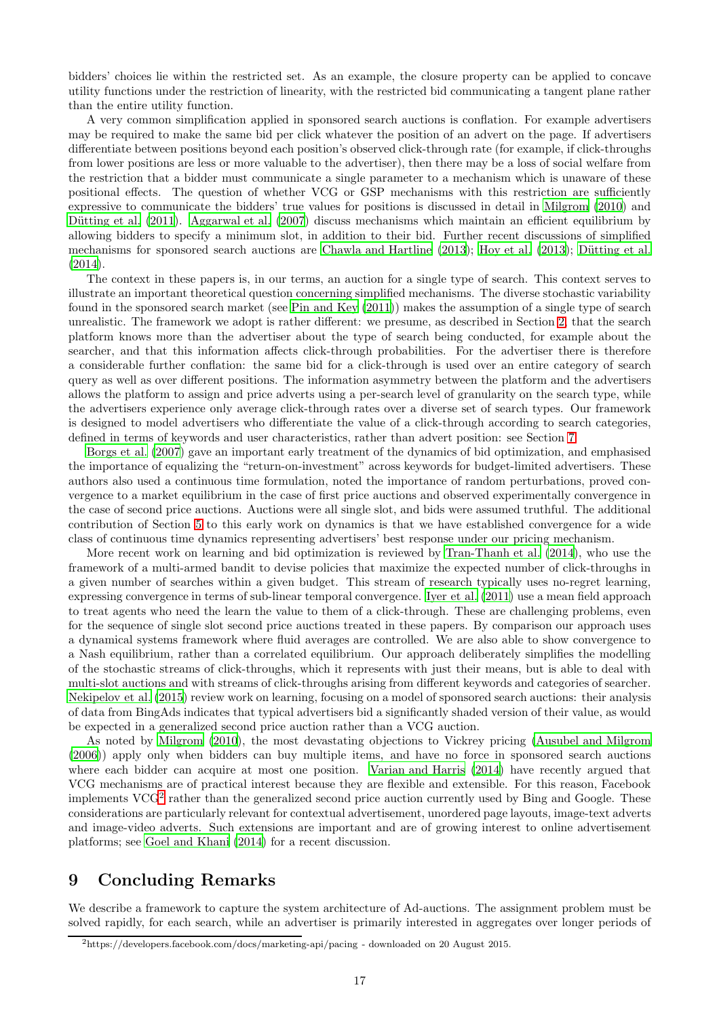bidders' choices lie within the restricted set. As an example, the closure property can be applied to concave utility functions under the restriction of linearity, with the restricted bid communicating a tangent plane rather than the entire utility function.

A very common simplification applied in sponsored search auctions is conflation. For example advertisers may be required to make the same bid per click whatever the position of an advert on the page. If advertisers differentiate between positions beyond each position's observed click-through rate (for example, if click-throughs from lower positions are less or more valuable to the advertiser), then there may be a loss of social welfare from the restriction that a bidder must communicate a single parameter to a mechanism which is unaware of these positional effects. The question of whether VCG or GSP mechanisms with this restriction are sufficiently expressive to communicate the bidders' true values for positions is discussed in detail in [Milgrom \(2010\)](#page-18-0) and Dütting et al. (2011). [Aggarwal et al. \(2007](#page-17-8)) discuss mechanisms which maintain an efficient equilibrium by allowing bidders to specify a minimum slot, in addition to their bid. Further recent discussions of simplified mechanisms for sponsored search auctions are [Chawla and Hartline](#page-17-9)  $(2013)$ ; Hoy et al.  $(2013)$ ; Dütting et al. [\(2014\)](#page-17-10).

The context in these papers is, in our terms, an auction for a single type of search. This context serves to illustrate an important theoretical question concerning simplified mechanisms. The diverse stochastic variability found in the sponsored search market (see [Pin and Key \(2011](#page-18-4))) makes the assumption of a single type of search unrealistic. The framework we adopt is rather different: we presume, as described in Section [2,](#page-2-0) that the search platform knows more than the advertiser about the type of search being conducted, for example about the searcher, and that this information affects click-through probabilities. For the advertiser there is therefore a considerable further conflation: the same bid for a click-through is used over an entire category of search query as well as over different positions. The information asymmetry between the platform and the advertisers allows the platform to assign and price adverts using a per-search level of granularity on the search type, while the advertisers experience only average click-through rates over a diverse set of search types. Our framework is designed to model advertisers who differentiate the value of a click-through according to search categories, defined in terms of keywords and user characteristics, rather than advert position: see Section [7.](#page-12-0)

[Borgs et al. \(2007\)](#page-17-5) gave an important early treatment of the dynamics of bid optimization, and emphasised the importance of equalizing the "return-on-investment" across keywords for budget-limited advertisers. These authors also used a continuous time formulation, noted the importance of random perturbations, proved convergence to a market equilibrium in the case of first price auctions and observed experimentally convergence in the case of second price auctions. Auctions were all single slot, and bids were assumed truthful. The additional contribution of Section [5](#page-9-0) to this early work on dynamics is that we have established convergence for a wide class of continuous time dynamics representing advertisers' best response under our pricing mechanism.

More recent work on learning and bid optimization is reviewed by [Tran-Thanh et al. \(2014\)](#page-19-10), who use the framework of a multi-armed bandit to devise policies that maximize the expected number of click-throughs in a given number of searches within a given budget. This stream of research typically uses no-regret learning, expressing convergence in terms of sub-linear temporal convergence. [Iyer et al. \(2011\)](#page-18-20) use a mean field approach to treat agents who need the learn the value to them of a click-through. These are challenging problems, even for the sequence of single slot second price auctions treated in these papers. By comparison our approach uses a dynamical systems framework where fluid averages are controlled. We are also able to show convergence to a Nash equilibrium, rather than a correlated equilibrium. Our approach deliberately simplifies the modelling of the stochastic streams of click-throughs, which it represents with just their means, but is able to deal with multi-slot auctions and with streams of click-throughs arising from different keywords and categories of searcher. [Nekipelov et al. \(2015\)](#page-18-6) review work on learning, focusing on a model of sponsored search auctions: their analysis of data from BingAds indicates that typical advertisers bid a significantly shaded version of their value, as would be expected in a generalized second price auction rather than a VCG auction.

As noted by [Milgrom \(2010\)](#page-18-0), the most devastating objections to Vickrey pricing [\(Ausubel and Milgrom](#page-17-11) [\(2006\)](#page-17-11)) apply only when bidders can buy multiple items, and have no force in sponsored search auctions where each bidder can acquire at most one position. [Varian and Harris \(2014\)](#page-19-11) have recently argued that VCG mechanisms are of practical interest because they are flexible and extensible. For this reason, Facebook implements VCG<sup>[2](#page-16-1)</sup> rather than the generalized second price auction currently used by Bing and Google. These considerations are particularly relevant for contextual advertisement, unordered page layouts, image-text adverts and image-video adverts. Such extensions are important and are of growing interest to online advertisement platforms; see [Goel and Khani \(2014\)](#page-18-21) for a recent discussion.

# <span id="page-16-0"></span>9 Concluding Remarks

We describe a framework to capture the system architecture of Ad-auctions. The assignment problem must be solved rapidly, for each search, while an advertiser is primarily interested in aggregates over longer periods of

<span id="page-16-1"></span><sup>2</sup>https://developers.facebook.com/docs/marketing-api/pacing - downloaded on 20 August 2015.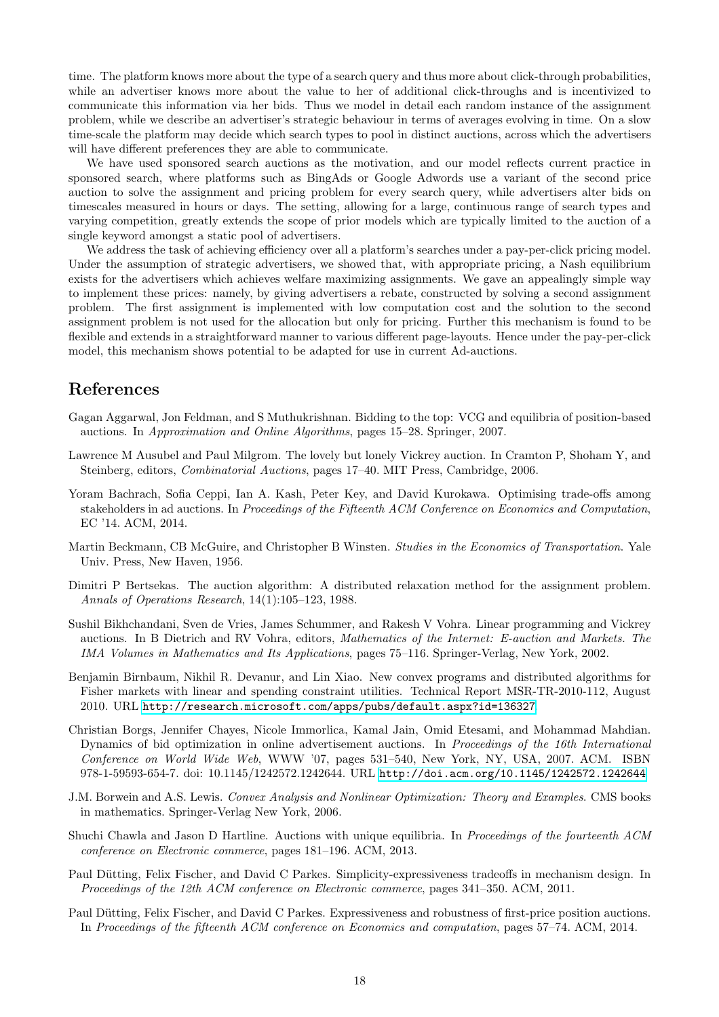time. The platform knows more about the type of a search query and thus more about click-through probabilities, while an advertiser knows more about the value to her of additional click-throughs and is incentivized to communicate this information via her bids. Thus we model in detail each random instance of the assignment problem, while we describe an advertiser's strategic behaviour in terms of averages evolving in time. On a slow time-scale the platform may decide which search types to pool in distinct auctions, across which the advertisers will have different preferences they are able to communicate.

We have used sponsored search auctions as the motivation, and our model reflects current practice in sponsored search, where platforms such as BingAds or Google Adwords use a variant of the second price auction to solve the assignment and pricing problem for every search query, while advertisers alter bids on timescales measured in hours or days. The setting, allowing for a large, continuous range of search types and varying competition, greatly extends the scope of prior models which are typically limited to the auction of a single keyword amongst a static pool of advertisers.

We address the task of achieving efficiency over all a platform's searches under a pay-per-click pricing model. Under the assumption of strategic advertisers, we showed that, with appropriate pricing, a Nash equilibrium exists for the advertisers which achieves welfare maximizing assignments. We gave an appealingly simple way to implement these prices: namely, by giving advertisers a rebate, constructed by solving a second assignment problem. The first assignment is implemented with low computation cost and the solution to the second assignment problem is not used for the allocation but only for pricing. Further this mechanism is found to be flexible and extends in a straightforward manner to various different page-layouts. Hence under the pay-per-click model, this mechanism shows potential to be adapted for use in current Ad-auctions.

## References

- <span id="page-17-8"></span>Gagan Aggarwal, Jon Feldman, and S Muthukrishnan. Bidding to the top: VCG and equilibria of position-based auctions. In Approximation and Online Algorithms, pages 15–28. Springer, 2007.
- <span id="page-17-11"></span>Lawrence M Ausubel and Paul Milgrom. The lovely but lonely Vickrey auction. In Cramton P, Shoham Y, and Steinberg, editors, Combinatorial Auctions, pages 17–40. MIT Press, Cambridge, 2006.
- <span id="page-17-3"></span>Yoram Bachrach, Sofia Ceppi, Ian A. Kash, Peter Key, and David Kurokawa. Optimising trade-offs among stakeholders in ad auctions. In Proceedings of the Fifteenth ACM Conference on Economics and Computation, EC '14. ACM, 2014.
- <span id="page-17-4"></span>Martin Beckmann, CB McGuire, and Christopher B Winsten. Studies in the Economics of Transportation. Yale Univ. Press, New Haven, 1956.
- <span id="page-17-0"></span>Dimitri P Bertsekas. The auction algorithm: A distributed relaxation method for the assignment problem. Annals of Operations Research, 14(1):105–123, 1988.
- <span id="page-17-1"></span>Sushil Bikhchandani, Sven de Vries, James Schummer, and Rakesh V Vohra. Linear programming and Vickrey auctions. In B Dietrich and RV Vohra, editors, Mathematics of the Internet: E-auction and Markets. The IMA Volumes in Mathematics and Its Applications, pages 75–116. Springer-Verlag, New York, 2002.
- <span id="page-17-6"></span>Benjamin Birnbaum, Nikhil R. Devanur, and Lin Xiao. New convex programs and distributed algorithms for Fisher markets with linear and spending constraint utilities. Technical Report MSR-TR-2010-112, August 2010. URL <http://research.microsoft.com/apps/pubs/default.aspx?id=136327>.
- <span id="page-17-5"></span>Christian Borgs, Jennifer Chayes, Nicole Immorlica, Kamal Jain, Omid Etesami, and Mohammad Mahdian. Dynamics of bid optimization in online advertisement auctions. In Proceedings of the 16th International Conference on World Wide Web, WWW '07, pages 531–540, New York, NY, USA, 2007. ACM. ISBN 978-1-59593-654-7. doi: 10.1145/1242572.1242644. URL <http://doi.acm.org/10.1145/1242572.1242644>.
- <span id="page-17-2"></span>J.M. Borwein and A.S. Lewis. Convex Analysis and Nonlinear Optimization: Theory and Examples. CMS books in mathematics. Springer-Verlag New York, 2006.
- <span id="page-17-9"></span>Shuchi Chawla and Jason D Hartline. Auctions with unique equilibria. In Proceedings of the fourteenth ACM conference on Electronic commerce, pages 181–196. ACM, 2013.
- <span id="page-17-7"></span>Paul Dütting, Felix Fischer, and David C Parkes. Simplicity-expressiveness tradeoffs in mechanism design. In Proceedings of the 12th ACM conference on Electronic commerce, pages 341–350. ACM, 2011.
- <span id="page-17-10"></span>Paul Dütting, Felix Fischer, and David C Parkes. Expressiveness and robustness of first-price position auctions. In Proceedings of the fifteenth ACM conference on Economics and computation, pages 57–74. ACM, 2014.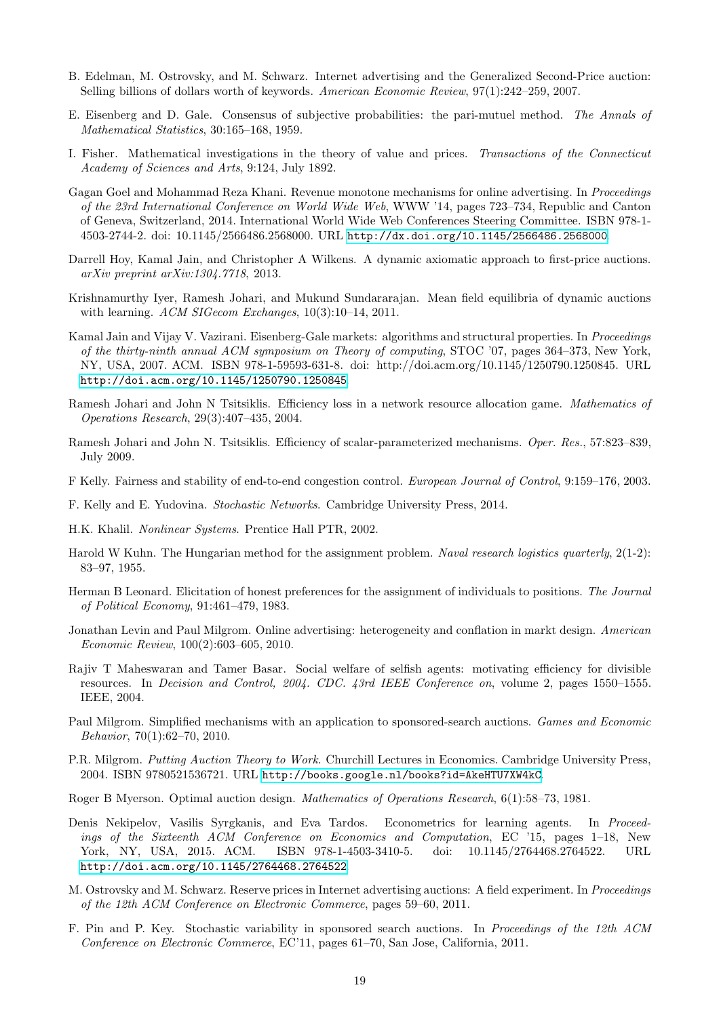- <span id="page-18-1"></span>B. Edelman, M. Ostrovsky, and M. Schwarz. Internet advertising and the Generalized Second-Price auction: Selling billions of dollars worth of keywords. American Economic Review, 97(1):242–259, 2007.
- <span id="page-18-15"></span>E. Eisenberg and D. Gale. Consensus of subjective probabilities: the pari-mutuel method. The Annals of Mathematical Statistics, 30:165–168, 1959.
- <span id="page-18-14"></span>I. Fisher. Mathematical investigations in the theory of value and prices. Transactions of the Connecticut Academy of Sciences and Arts, 9:124, July 1892.
- <span id="page-18-21"></span>Gagan Goel and Mohammad Reza Khani. Revenue monotone mechanisms for online advertising. In Proceedings of the 23rd International Conference on World Wide Web, WWW '14, pages 723–734, Republic and Canton of Geneva, Switzerland, 2014. International World Wide Web Conferences Steering Committee. ISBN 978-1- 4503-2744-2. doi: 10.1145/2566486.2568000. URL <http://dx.doi.org/10.1145/2566486.2568000>.
- <span id="page-18-19"></span>Darrell Hoy, Kamal Jain, and Christopher A Wilkens. A dynamic axiomatic approach to first-price auctions. arXiv preprint arXiv:1304.7718, 2013.
- <span id="page-18-20"></span>Krishnamurthy Iyer, Ramesh Johari, and Mukund Sundararajan. Mean field equilibria of dynamic auctions with learning. ACM SIGecom Exchanges, 10(3):10-14, 2011.
- <span id="page-18-16"></span>Kamal Jain and Vijay V. Vazirani. Eisenberg-Gale markets: algorithms and structural properties. In Proceedings of the thirty-ninth annual ACM symposium on Theory of computing, STOC '07, pages 364–373, New York, NY, USA, 2007. ACM. ISBN 978-1-59593-631-8. doi: http://doi.acm.org/10.1145/1250790.1250845. URL <http://doi.acm.org/10.1145/1250790.1250845>.
- <span id="page-18-18"></span>Ramesh Johari and John N Tsitsiklis. Efficiency loss in a network resource allocation game. Mathematics of Operations Research, 29(3):407–435, 2004.
- <span id="page-18-3"></span>Ramesh Johari and John N. Tsitsiklis. Efficiency of scalar-parameterized mechanisms. Oper. Res., 57:823–839, July 2009.
- <span id="page-18-11"></span>F Kelly. Fairness and stability of end-to-end congestion control. European Journal of Control, 9:159–176, 2003.
- <span id="page-18-17"></span>F. Kelly and E. Yudovina. Stochastic Networks. Cambridge University Press, 2014.
- <span id="page-18-10"></span>H.K. Khalil. Nonlinear Systems. Prentice Hall PTR, 2002.
- <span id="page-18-5"></span>Harold W Kuhn. The Hungarian method for the assignment problem. Naval research logistics quarterly, 2(1-2): 83–97, 1955.
- <span id="page-18-7"></span>Herman B Leonard. Elicitation of honest preferences for the assignment of individuals to positions. The Journal of Political Economy, 91:461–479, 1983.
- <span id="page-18-13"></span>Jonathan Levin and Paul Milgrom. Online advertising: heterogeneity and conflation in markt design. American Economic Review, 100(2):603–605, 2010.
- <span id="page-18-2"></span>Rajiv T Maheswaran and Tamer Basar. Social welfare of selfish agents: motivating efficiency for divisible resources. In Decision and Control, 2004. CDC. 43rd IEEE Conference on, volume 2, pages 1550–1555. IEEE, 2004.
- <span id="page-18-0"></span>Paul Milgrom. Simplified mechanisms with an application to sponsored-search auctions. Games and Economic Behavior, 70(1):62–70, 2010.
- <span id="page-18-9"></span>P.R. Milgrom. Putting Auction Theory to Work. Churchill Lectures in Economics. Cambridge University Press, 2004. ISBN 9780521536721. URL <http://books.google.nl/books?id=AkeHTU7XW4kC>.
- <span id="page-18-8"></span>Roger B Myerson. Optimal auction design. Mathematics of Operations Research, 6(1):58–73, 1981.
- <span id="page-18-6"></span>Denis Nekipelov, Vasilis Syrgkanis, and Eva Tardos. Econometrics for learning agents. In Proceedings of the Sixteenth ACM Conference on Economics and Computation, EC '15, pages 1–18, New York, NY, USA, 2015. ACM. ISBN 978-1-4503-3410-5. doi: 10.1145/2764468.2764522. URL <http://doi.acm.org/10.1145/2764468.2764522>.
- <span id="page-18-12"></span>M. Ostrovsky and M. Schwarz. Reserve prices in Internet advertising auctions: A field experiment. In Proceedings of the 12th ACM Conference on Electronic Commerce, pages 59–60, 2011.
- <span id="page-18-4"></span>F. Pin and P. Key. Stochastic variability in sponsored search auctions. In Proceedings of the 12th ACM Conference on Electronic Commerce, EC'11, pages 61–70, San Jose, California, 2011.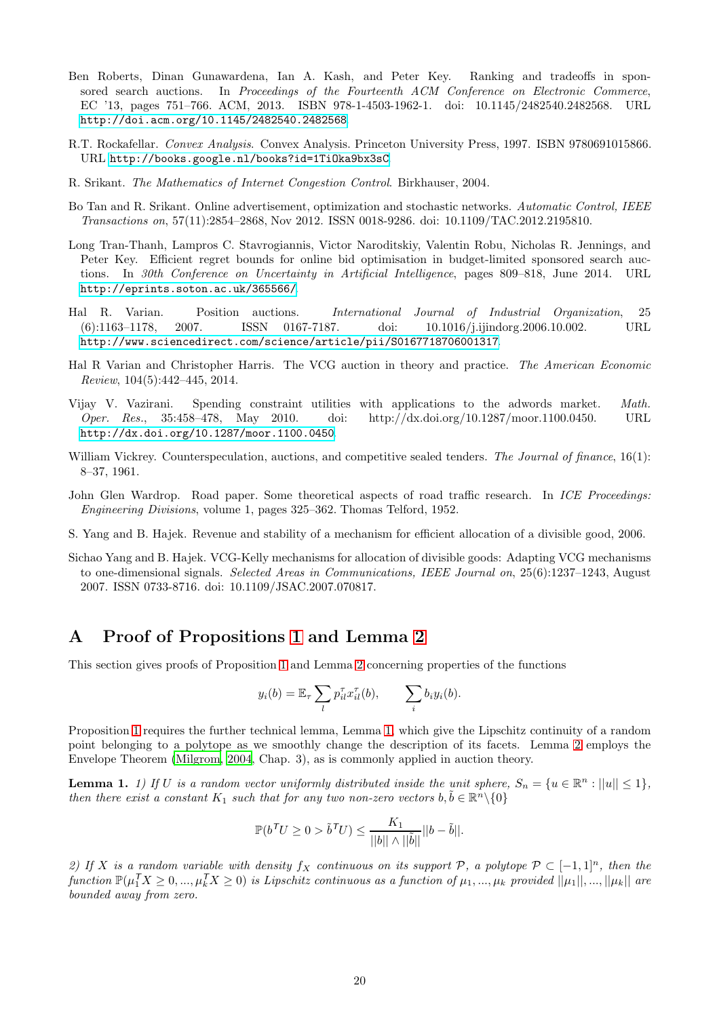- <span id="page-19-5"></span>Ben Roberts, Dinan Gunawardena, Ian A. Kash, and Peter Key. Ranking and tradeoffs in sponsored search auctions. In Proceedings of the Fourteenth ACM Conference on Electronic Commerce, EC '13, pages 751–766. ACM, 2013. ISBN 978-1-4503-1962-1. doi: 10.1145/2482540.2482568. URL <http://doi.acm.org/10.1145/2482540.2482568>.
- <span id="page-19-13"></span>R.T. Rockafellar. Convex Analysis. Convex Analysis. Princeton University Press, 1997. ISBN 9780691015866. URL <http://books.google.nl/books?id=1TiOka9bx3sC>.
- <span id="page-19-8"></span>R. Srikant. The Mathematics of Internet Congestion Control. Birkhauser, 2004.
- <span id="page-19-9"></span>Bo Tan and R. Srikant. Online advertisement, optimization and stochastic networks. Automatic Control, IEEE Transactions on, 57(11):2854–2868, Nov 2012. ISSN 0018-9286. doi: 10.1109/TAC.2012.2195810.
- <span id="page-19-10"></span>Long Tran-Thanh, Lampros C. Stavrogiannis, Victor Naroditskiy, Valentin Robu, Nicholas R. Jennings, and Peter Key. Efficient regret bounds for online bid optimisation in budget-limited sponsored search auctions. In 30th Conference on Uncertainty in Artificial Intelligence, pages 809–818, June 2014. URL <http://eprints.soton.ac.uk/365566/>.
- <span id="page-19-0"></span>Hal R. Varian. Position auctions. International Journal of Industrial Organization, 25 (6):1163–1178, 2007. ISSN 0167-7187. doi: 10.1016/j.ijindorg.2006.10.002. URL <http://www.sciencedirect.com/science/article/pii/S0167718706001317>.
- <span id="page-19-11"></span>Hal R Varian and Christopher Harris. The VCG auction in theory and practice. The American Economic Review, 104(5):442–445, 2014.
- <span id="page-19-7"></span>Vijay V. Vazirani. Spending constraint utilities with applications to the adwords market. Math. Oper. Res., 35:458–478, May 2010. doi: http://dx.doi.org/10.1287/moor.1100.0450. URL <http://dx.doi.org/10.1287/moor.1100.0450>.
- <span id="page-19-4"></span>William Vickrey. Counterspeculation, auctions, and competitive sealed tenders. The Journal of finance, 16(1): 8–37, 1961.
- <span id="page-19-6"></span>John Glen Wardrop. Road paper. Some theoretical aspects of road traffic research. In ICE Proceedings: Engineering Divisions, volume 1, pages 325–362. Thomas Telford, 1952.
- <span id="page-19-2"></span>S. Yang and B. Hajek. Revenue and stability of a mechanism for efficient allocation of a divisible good, 2006.
- <span id="page-19-1"></span>Sichao Yang and B. Hajek. VCG-Kelly mechanisms for allocation of divisible goods: Adapting VCG mechanisms to one-dimensional signals. Selected Areas in Communications, IEEE Journal on, 25(6):1237–1243, August 2007. ISSN 0733-8716. doi: 10.1109/JSAC.2007.070817.

## <span id="page-19-3"></span>A Proof of Propositions [1](#page-3-4) and Lemma [2](#page-22-0)

This section gives proofs of Proposition [1](#page-3-4) and Lemma [2](#page-22-0) concerning properties of the functions

$$
y_i(b) = \mathbb{E}_{\tau} \sum_l p_{il}^{\tau} x_{il}^{\tau}(b), \qquad \sum_i b_i y_i(b).
$$

Proposition [1](#page-3-4) requires the further technical lemma, Lemma [1,](#page-19-12) which give the Lipschitz continuity of a random point belonging to a polytope as we smoothly change the description of its facets. Lemma [2](#page-22-0) employs the Envelope Theorem [\(Milgrom](#page-18-9), [2004](#page-18-9), Chap. 3), as is commonly applied in auction theory.

<span id="page-19-12"></span>**Lemma 1.** 1) If U is a random vector uniformly distributed inside the unit sphere,  $S_n = \{u \in \mathbb{R}^n : ||u|| \leq 1\}$ , then there exist a constant  $K_1$  such that for any two non-zero vectors  $b, \tilde{b} \in \mathbb{R}^n \setminus \{0\}$ 

$$
\mathbb{P}(b^{\mathsf{T}}U \ge 0 > \tilde{b}^{\mathsf{T}}U) \le \frac{K_1}{||b|| \wedge ||\tilde{b}||}||b - \tilde{b}||.
$$

2) If X is a random variable with density fx continuous on its support P, a polytope  $\mathcal{P} \subset [-1,1]^n$ , then the  $function \ \mathbb{P}(\mu_1^T X \geq 0, ..., \mu_k^T X \geq 0)$  is Lipschitz continuous as a function of  $\mu_1, ..., \mu_k$  provided  $||\mu_1||, ..., ||\mu_k||$  are bounded away from zero.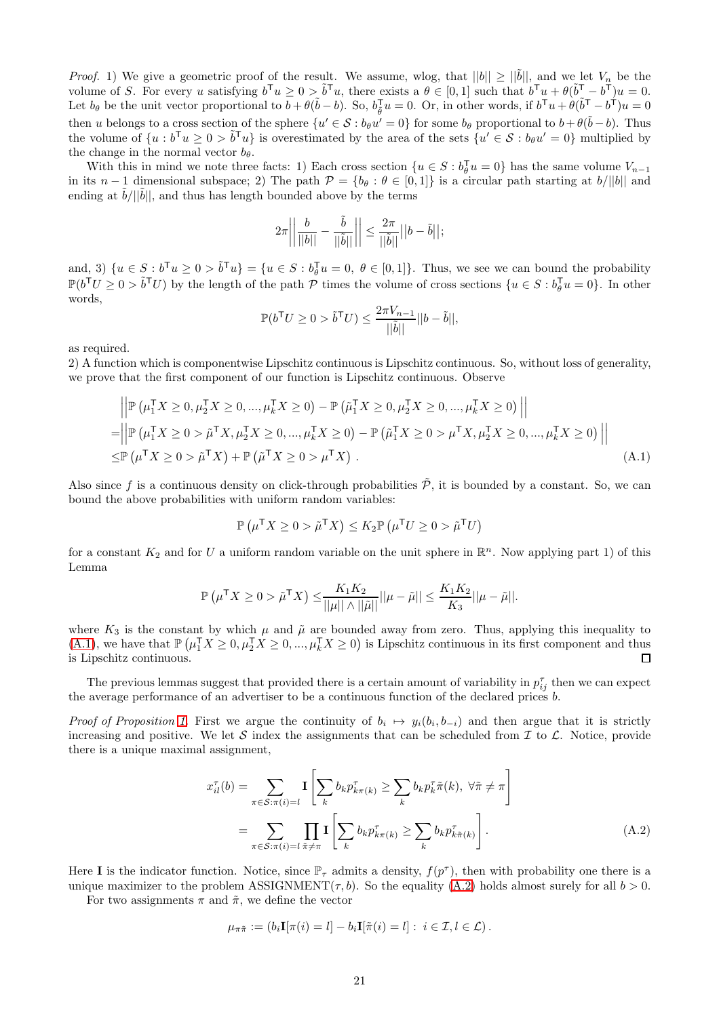*Proof.* 1) We give a geometric proof of the result. We assume, wlog, that  $||b|| \ge ||\tilde{b}||$ , and we let  $V_n$  be the volume of S. For every u satisfying  $b^{\mathsf{T}}u \geq 0 > \tilde{b}^{\mathsf{T}}u$ , there exists a  $\theta \in [0,1]$  such that  $b^{\mathsf{T}}u + \theta(\tilde{b}^{\mathsf{T}} - b^{\mathsf{T}})u = 0$ . Let  $b_{\theta}$  be the unit vector proportional to  $\overline{b} + \theta(\tilde{b} - b)$ . So,  $b_{\tilde{\theta}}^{\mathsf{T}}u = 0$ . Or, in other words, if  $b^{\mathsf{T}}u + \theta(\tilde{b}^{\mathsf{T}} - b^{\tilde{\mathsf{T}}})u = 0$ then u belongs to a cross section of the sphere  $\{u' \in \mathcal{S} : b_{\theta}u' = 0\}$  for some  $b_{\theta}$  proportional to  $b + \theta(\tilde{b} - b)$ . Thus the volume of  $\{u : b^{\mathsf{T}}u \geq 0 > \tilde{b}^{\mathsf{T}}u\}$  is overestimated by the area of the sets  $\{u' \in \mathcal{S} : b_{\theta}u' = 0\}$  multiplied by the change in the normal vector  $b_{\theta}$ .

With this in mind we note three facts: 1) Each cross section  $\{u \in S : b_{\theta}^{\mathsf{T}} u = 0\}$  has the same volume  $V_{n-1}$ in its n − 1 dimensional subspace; 2) The path  $\mathcal{P} = \{b_\theta : \theta \in [0,1]\}\$ is a circular path starting at  $b/||b||$  and ending at  $\tilde{b}/||\tilde{b}||$ , and thus has length bounded above by the terms

$$
2\pi\bigg|\bigg|\frac{b}{||b||}-\frac{\tilde{b}}{||\tilde{b}||}\bigg|\bigg|\leq \frac{2\pi}{||\tilde{b}||}||b-\tilde{b}||;
$$

and, 3)  $\{u \in S : b^{\mathsf{T}}u \geq 0 > \tilde{b}^{\mathsf{T}}u\} = \{u \in S : b_{\theta}^{\mathsf{T}}u\}$  $\mathcal{L}_{\theta}^{\mathsf{I}} u = 0, \ \theta \in [0, 1]$ . Thus, we see we can bound the probability  $\mathbb{P}(b^{\mathsf{T}}U \geq 0 > \tilde{b}^{\mathsf{T}}U)$  by the length of the path  $\mathcal P$  times the volume of cross sections  $\{u \in S : b_{\theta}^{\mathsf{T}}u = 0\}$ . In other words,

<span id="page-20-0"></span>
$$
\mathbb{P}(b^{\mathsf{T}}U \ge 0 > \tilde{b}^{\mathsf{T}}U) \le \frac{2\pi V_{n-1}}{||\tilde{b}||}||b - \tilde{b}||,
$$

as required.

2) A function which is componentwise Lipschitz continuous is Lipschitz continuous. So, without loss of generality, we prove that the first component of our function is Lipschitz continuous. Observe

$$
\left| \mathbb{P} \left( \mu_1^{\mathsf{T}} X \ge 0, \mu_2^{\mathsf{T}} X \ge 0, ..., \mu_k^{\mathsf{T}} X \ge 0 \right) - \mathbb{P} \left( \tilde{\mu}_1^{\mathsf{T}} X \ge 0, \mu_2^{\mathsf{T}} X \ge 0, ..., \mu_k^{\mathsf{T}} X \ge 0 \right) \right| \right|
$$
  
\n=
$$
\left| \left| \mathbb{P} \left( \mu_1^{\mathsf{T}} X \ge 0 > \tilde{\mu}^{\mathsf{T}} X, \mu_2^{\mathsf{T}} X \ge 0, ..., \mu_k^{\mathsf{T}} X \ge 0 \right) - \mathbb{P} \left( \tilde{\mu}_1^{\mathsf{T}} X \ge 0 > \mu^{\mathsf{T}} X, \mu_2^{\mathsf{T}} X \ge 0, ..., \mu_k^{\mathsf{T}} X \ge 0 \right) \right| \right|
$$
  
\n
$$
\leq \mathbb{P} \left( \mu^{\mathsf{T}} X \ge 0 > \tilde{\mu}^{\mathsf{T}} X \right) + \mathbb{P} \left( \tilde{\mu}^{\mathsf{T}} X \ge 0 > \mu^{\mathsf{T}} X \right).
$$
 (A.1)

Also since f is a continuous density on click-through probabilities  $\tilde{\mathcal{P}}$ , it is bounded by a constant. So, we can bound the above probabilities with uniform random variables:

$$
\mathbb{P}\left(\mu^{\mathsf{T}} X \geq 0 > \tilde{\mu}^{\mathsf{T}} X\right) \leq K_2 \mathbb{P}\left(\mu^{\mathsf{T}} U \geq 0 > \tilde{\mu}^{\mathsf{T}} U\right)
$$

for a constant  $K_2$  and for U a uniform random variable on the unit sphere in  $\mathbb{R}^n$ . Now applying part 1) of this Lemma

$$
\mathbb{P}\left(\boldsymbol{\mu}^{\mathsf{T}} X \geq 0 > \tilde{\mu}^{\mathsf{T}} X\right) \leq \frac{K_1 K_2}{||\boldsymbol{\mu}|| \wedge ||\tilde{\mu}||} ||\boldsymbol{\mu} - \tilde{\mu}|| \leq \frac{K_1 K_2}{K_3} ||\boldsymbol{\mu} - \tilde{\mu}||.
$$

where  $K_3$  is the constant by which  $\mu$  and  $\tilde{\mu}$  are bounded away from zero. Thus, applying this inequality to [\(A.1\)](#page-20-0), we have that  $\mathbb{P}(\mu_1^{\mathsf{T}}X \geq 0, \mu_2^{\mathsf{T}}X \geq 0, ..., \mu_k^{\mathsf{T}}X \geq 0)$  is Lipschitz continuous in its first component and thus is Lipschitz continuous.  $\Box$ 

The previous lemmas suggest that provided there is a certain amount of variability in  $p_{ij}^{\tau}$  then we can expect the average performance of an advertiser to be a continuous function of the declared prices b.

Proof of Proposition [1.](#page-3-4) First we argue the continuity of  $b_i \mapsto y_i(b_i, b_{-i})$  and then argue that it is strictly increasing and positive. We let S index the assignments that can be scheduled from  $\mathcal I$  to  $\mathcal L$ . Notice, provide there is a unique maximal assignment,

$$
x_{il}^{\tau}(b) = \sum_{\pi \in S: \pi(i) = l} \mathbf{I} \left[ \sum_{k} b_{k} p_{k\pi(k)}^{\tau} \ge \sum_{k} b_{k} p_{k\pi(k)}^{\tau}, \forall \tilde{\pi} \ne \pi \right]
$$

$$
= \sum_{\pi \in S: \pi(i) = l} \prod_{\tilde{\pi} \ne \pi} \mathbf{I} \left[ \sum_{k} b_{k} p_{k\pi(k)}^{\tau} \ge \sum_{k} b_{k} p_{k\tilde{\pi}(k)}^{\tau} \right]. \tag{A.2}
$$

Here I is the indicator function. Notice, since  $\mathbb{P}_{\tau}$  admits a density,  $f(p^{\tau})$ , then with probability one there is a unique maximizer to the problem ASSIGNMENT( $\tau$ , b). So the equality [\(A.2\)](#page-20-1) holds almost surely for all  $b > 0$ .

For two assignments  $\pi$  and  $\tilde{\pi}$ , we define the vector

<span id="page-20-1"></span>
$$
\mu_{\pi\tilde{\pi}} := (b_i \mathbf{I}[\pi(i) = l] - b_i \mathbf{I}[\tilde{\pi}(i) = l] : i \in \mathcal{I}, l \in \mathcal{L}).
$$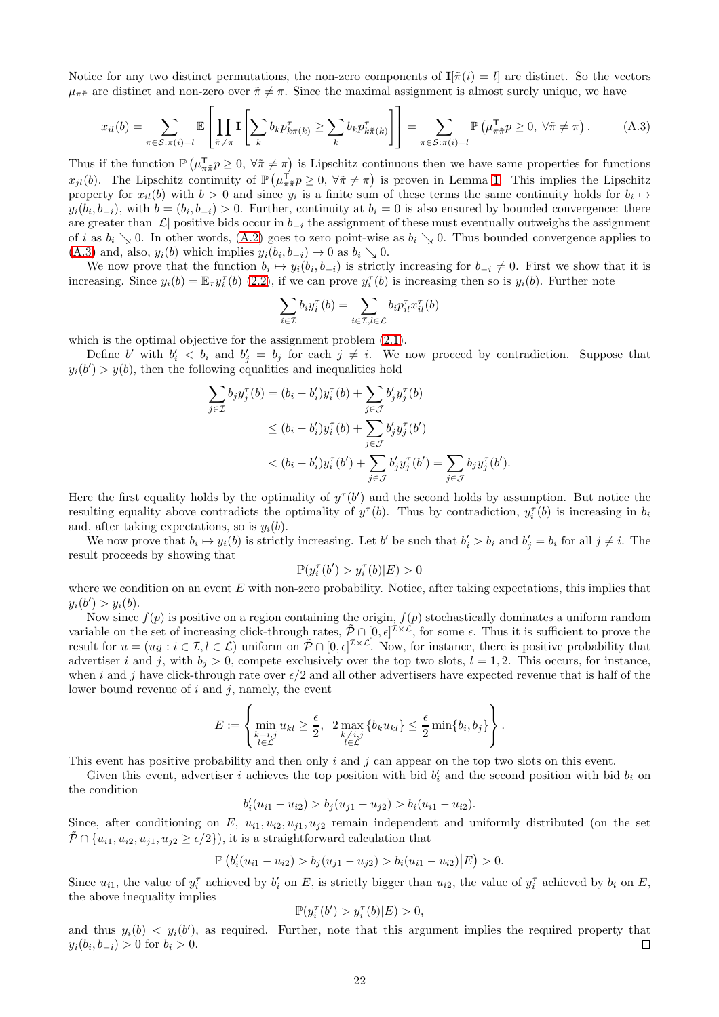Notice for any two distinct permutations, the non-zero components of  $I[\tilde{\pi}(i) = l]$  are distinct. So the vectors  $\mu_{\pi\tilde{\pi}}$  are distinct and non-zero over  $\tilde{\pi} \neq \pi$ . Since the maximal assignment is almost surely unique, we have

$$
x_{il}(b) = \sum_{\pi \in S: \pi(i) = l} \mathbb{E}\left[\prod_{\tilde{\pi} \neq \pi} \mathbf{I}\left[\sum_{k} b_{k} p_{k\pi(k)}^{\tau} \geq \sum_{k} b_{k} p_{k\tilde{\pi}(k)}^{\tau}\right]\right] = \sum_{\pi \in S: \pi(i) = l} \mathbb{P}\left(\mu_{\pi\tilde{\pi}}^{\tau} p \geq 0, \ \forall \tilde{\pi} \neq \pi\right).
$$
 (A.3)

Thus if the function  $\mathbb{P}\left(\mu_{\pi\tilde{\pi}}^{\mathrm{T}} p\geq 0, \ \forall \tilde{\pi}\neq \pi\right)$  is Lipschitz continuous then we have same properties for functions  $x_{jl}(b)$ . The Lipschitz continuity of  $\mathbb{P}(\mu_{\pi\pi}^{\mathcal{T}} p \geq 0, \forall \pi \neq \pi)$  is proven in Lemma [1.](#page-19-12) This implies the Lipschitz property for  $x_{il}(b)$  with  $b > 0$  and since  $y_i$  is a finite sum of these terms the same continuity holds for  $b_i \mapsto$  $y_i(b_i, b_{-i})$ , with  $b = (b_i, b_{-i}) > 0$ . Further, continuity at  $b_i = 0$  is also ensured by bounded convergence: there are greater than  $|\mathcal{L}|$  positive bids occur in  $b_{-i}$  the assignment of these must eventually outweighs the assignment of i as  $b_i \searrow 0$ . In other words, [\(A.2\)](#page-20-1) goes to zero point-wise as  $b_i \searrow 0$ . Thus bounded convergence applies to  $(A.3)$  and, also,  $y_i(b)$  which implies  $y_i(b_i, b_{-i}) \to 0$  as  $b_i \searrow 0$ .

We now prove that the function  $b_i \mapsto y_i(b_i, b_{-i})$  is strictly increasing for  $b_{-i} \neq 0$ . First we show that it is increasing. Since  $y_i(b) = \mathbb{E}_{\tau} y_i^{\tau}(b)$  [\(2.2\)](#page-3-7), if we can prove  $y_i^{\tau}(b)$  is increasing then so is  $y_i(b)$ . Further note

<span id="page-21-0"></span>
$$
\sum_{i \in \mathcal{I}} b_i y_i^{\tau}(b) = \sum_{i \in \mathcal{I}, l \in \mathcal{L}} b_i p_{il}^{\tau} x_{il}^{\tau}(b)
$$

which is the optimal objective for the assignment problem  $(2.1)$ .

Define b' with  $b'_i < b_i$  and  $b'_j = b_j$  for each  $j \neq i$ . We now proceed by contradiction. Suppose that  $y_i(b') > y(b)$ , then the following equalities and inequalities hold

$$
\sum_{j \in \mathcal{I}} b_j y_j^{\tau}(b) = (b_i - b'_i) y_i^{\tau}(b) + \sum_{j \in \mathcal{J}} b'_j y_j^{\tau}(b) \n\le (b_i - b'_i) y_i^{\tau}(b) + \sum_{j \in \mathcal{J}} b'_j y_j^{\tau}(b') \n< (b_i - b'_i) y_i^{\tau}(b') + \sum_{j \in \mathcal{J}} b'_j y_j^{\tau}(b') = \sum_{j \in \mathcal{J}} b_j y_j^{\tau}(b').
$$

Here the first equality holds by the optimality of  $y^{\tau}(b')$  and the second holds by assumption. But notice the resulting equality above contradicts the optimality of  $y^{\tau}(b)$ . Thus by contradiction,  $y_i^{\tau}(b)$  is increasing in  $b_i$ and, after taking expectations, so is  $y_i(b)$ .

We now prove that  $b_i \mapsto y_i(b)$  is strictly increasing. Let b' be such that  $b'_i > b_i$  and  $b'_j = b_i$  for all  $j \neq i$ . The result proceeds by showing that

$$
\mathbb{P}(y_i^{\tau}(b') > y_i^{\tau}(b)|E) > 0
$$

where we condition on an event  $E$  with non-zero probability. Notice, after taking expectations, this implies that  $y_i(b') > y_i(b).$ 

Now since  $f(p)$  is positive on a region containing the origin,  $f(p)$  stochastically dominates a uniform random variable on the set of increasing click-through rates,  $\tilde{\mathcal{P}} \cap [0, \epsilon]^{\mathcal{I} \times \mathcal{L}}$ , for some  $\epsilon$ . Thus it is sufficient to prove the result for  $u = (u_{il} : i \in \mathcal{I}, l \in \mathcal{L})$  uniform on  $\tilde{\mathcal{P}} \cap [0, \epsilon]^{\mathcal{I} \times \mathcal{L}}$ . Now, for instance, there is positive probability that advertiser i and j, with  $b_i > 0$ , compete exclusively over the top two slots,  $l = 1, 2$ . This occurs, for instance, when i and j have click-through rate over  $\epsilon/2$  and all other advertisers have expected revenue that is half of the lower bound revenue of  $i$  and  $j$ , namely, the event

$$
E := \left\{\min_{\substack{k=i,j\\l\in\mathcal{L}}}u_{kl}\geq \frac{\epsilon}{2}, \ \ 2\max_{\substack{k\neq i,j\\l\in\mathcal{L}}} \left\{b_ku_{kl}\right\}\leq \frac{\epsilon}{2}\min\{b_i,b_j\}\right\}.
$$

This event has positive probability and then only  $i$  and  $j$  can appear on the top two slots on this event.

Given this event, advertiser i achieves the top position with bid  $b'_i$  and the second position with bid  $b_i$  on the condition

$$
b_i'(u_{i1} - u_{i2}) > b_j(u_{j1} - u_{j2}) > b_i(u_{i1} - u_{i2}).
$$

Since, after conditioning on E,  $u_{i1}, u_{i2}, u_{j1}, u_{j2}$  remain independent and uniformly distributed (on the set  $\tilde{\mathcal{P}} \cap \{u_{i1}, u_{i2}, u_{i1}, u_{i2} \geq \epsilon/2\}$ , it is a straightforward calculation that

$$
\mathbb{P}\left(b'_i(u_{i1}-u_{i2}) > b_j(u_{j1}-u_{j2}) > b_i(u_{i1}-u_{i2})\big|E\right) > 0.
$$

Since  $u_{i1}$ , the value of  $y_i^{\tau}$  achieved by  $b'_i$  on E, is strictly bigger than  $u_{i2}$ , the value of  $y_i^{\tau}$  achieved by  $b_i$  on E, the above inequality implies

$$
\mathbb{P}(y_i^{\tau}(b') > y_i^{\tau}(b)|E) > 0,
$$

and thus  $y_i(b) \leq y_i(b')$ , as required. Further, note that this argument implies the required property that  $y_i(b_i, b_{-i}) > 0$  for  $b_i > 0$ .  $\Box$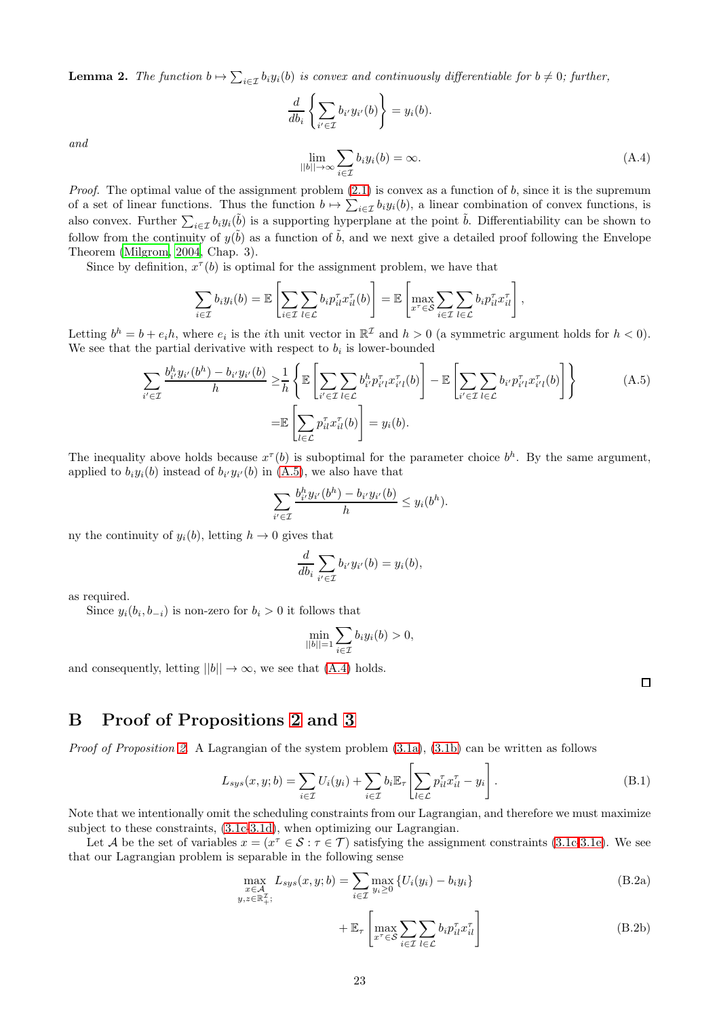<span id="page-22-0"></span>**Lemma 2.** The function  $b \mapsto \sum_{i \in \mathcal{I}} b_i y_i(b)$  is convex and continuously differentiable for  $b \neq 0$ ; further,

<span id="page-22-2"></span>
$$
\frac{d}{db_i} \left\{ \sum_{i' \in \mathcal{I}} b_{i'} y_{i'}(b) \right\} = y_i(b).
$$
\n
$$
\lim_{||b|| \to \infty} \sum_{i \in \mathcal{I}} b_i y_i(b) = \infty.
$$
\n(A.4)

and

*Proof.* The optimal value of the assignment problem  $(2.1)$  is convex as a function of b, since it is the supremum of a set of linear functions. Thus the function  $b \mapsto \sum_{i \in \mathcal{I}} b_i y_i(b)$ , a linear combination of convex functions, is also convex. Further  $\sum_{i\in\mathcal{I}}b_i y_i(\tilde{b})$  is a supporting hyperplane at the point  $\tilde{b}$ . Differentiability can be shown to follow from the continuity of  $y(\tilde{b})$  as a function of  $\tilde{b}$ , and we next give a detailed proof following the Envelope Theorem [\(Milgrom, 2004,](#page-18-9) Chap. 3).

Since by definition,  $x^{\tau}(b)$  is optimal for the assignment problem, we have that

$$
\sum_{i\in\mathcal{I}}b_iy_i(b)=\mathbb{E}\left[\sum_{i\in\mathcal{I}}\sum_{l\in\mathcal{L}}b_ip_{il}^{\tau}x_{il}^{\tau}(b)\right]=\mathbb{E}\left[\max_{x^{\tau}\in\mathcal{S}}\sum_{i\in\mathcal{I}}\sum_{l\in\mathcal{L}}b_ip_{il}^{\tau}x_{il}^{\tau}\right],
$$

Letting  $b^h = b + e_i h$ , where  $e_i$  is the *i*th unit vector in  $\mathbb{R}^{\mathcal{I}}$  and  $h > 0$  (a symmetric argument holds for  $h < 0$ ). We see that the partial derivative with respect to  $b_i$  is lower-bounded

$$
\sum_{i' \in \mathcal{I}} \frac{b_{i'}^h y_{i'}(b^h) - b_{i'} y_{i'}(b)}{h} \ge \frac{1}{h} \left\{ \mathbb{E} \left[ \sum_{i' \in \mathcal{I}} \sum_{l \in \mathcal{L}} b_{i'}^h p_{i'l}^{\tau} x_{i'l}^{\tau}(b) \right] - \mathbb{E} \left[ \sum_{i' \in \mathcal{I}} \sum_{l \in \mathcal{L}} b_{i'} p_{i'l}^{\tau} x_{i'l}^{\tau}(b) \right] \right\}
$$
\n
$$
= \mathbb{E} \left[ \sum_{l \in \mathcal{L}} p_{il}^{\tau} x_{il}^{\tau}(b) \right] = y_i(b).
$$
\n(A.5)

The inequality above holds because  $x^{\tau}(b)$  is suboptimal for the parameter choice  $b^{h}$ . By the same argument, applied to  $b_i y_i(b)$  instead of  $b_{i'} y_{i'}(b)$  in  $(A.5)$ , we also have that

$$
\sum_{i'\in\mathcal{I}}\frac{b_{i'}^hy_{i'}(b^h)-b_{i'}y_{i'}(b)}{h}\leq y_i(b^h).
$$

ny the continuity of  $y_i(b)$ , letting  $h \to 0$  gives that

$$
\frac{d}{db_i} \sum_{i' \in \mathcal{I}} b_{i'} y_{i'}(b) = y_i(b),
$$

as required.

Since  $y_i(b_i, b_{-i})$  is non-zero for  $b_i > 0$  it follows that

$$
\min_{||b||=1} \sum_{i \in \mathcal{I}} b_i y_i(b) > 0,
$$

and consequently, letting  $||b|| \rightarrow \infty$ , we see that [\(A.4\)](#page-22-2) holds.

<span id="page-22-5"></span><span id="page-22-4"></span><span id="page-22-3"></span><span id="page-22-1"></span> $\Box$ 

# B Proof of Propositions [2](#page-7-5) and [3](#page-7-3)

*Proof of Proposition [2.](#page-7-5)* A Lagrangian of the system problem  $(3.1a)$ ,  $(3.1b)$  can be written as follows

$$
L_{sys}(x, y; b) = \sum_{i \in \mathcal{I}} U_i(y_i) + \sum_{i \in \mathcal{I}} b_i \mathbb{E}_{\tau} \left[ \sum_{l \in \mathcal{L}} p_{il}^{\tau} x_{il}^{\tau} - y_i \right]. \tag{B.1}
$$

Note that we intentionally omit the scheduling constraints from our Lagrangian, and therefore we must maximize subject to these constraints, [\(3.1c-](#page-6-0)[3.1d\)](#page-6-1), when optimizing our Lagrangian.

Let A be the set of variables  $x = (x^{\tau} \in S : \tau \in \mathcal{T})$  satisfying the assignment constraints [\(3.1c](#page-6-0)[-3.1e\)](#page-6-4). We see that our Lagrangian problem is separable in the following sense

$$
\max_{\substack{x \in \mathcal{A} \\ y, z \in \mathbb{R}_+^{\mathcal{I}}}} L_{sys}(x, y; b) = \sum_{i \in \mathcal{I}} \max_{y_i \ge 0} \{ U_i(y_i) - b_i y_i \}
$$
(B.2a)

<span id="page-22-6"></span>
$$
+\mathbb{E}_{\tau}\left[\max_{x^{\tau}\in\mathcal{S}}\sum_{i\in\mathcal{I}}\sum_{l\in\mathcal{L}}b_{i}p_{il}^{\tau}x_{il}^{\tau}\right]
$$
(B.2b)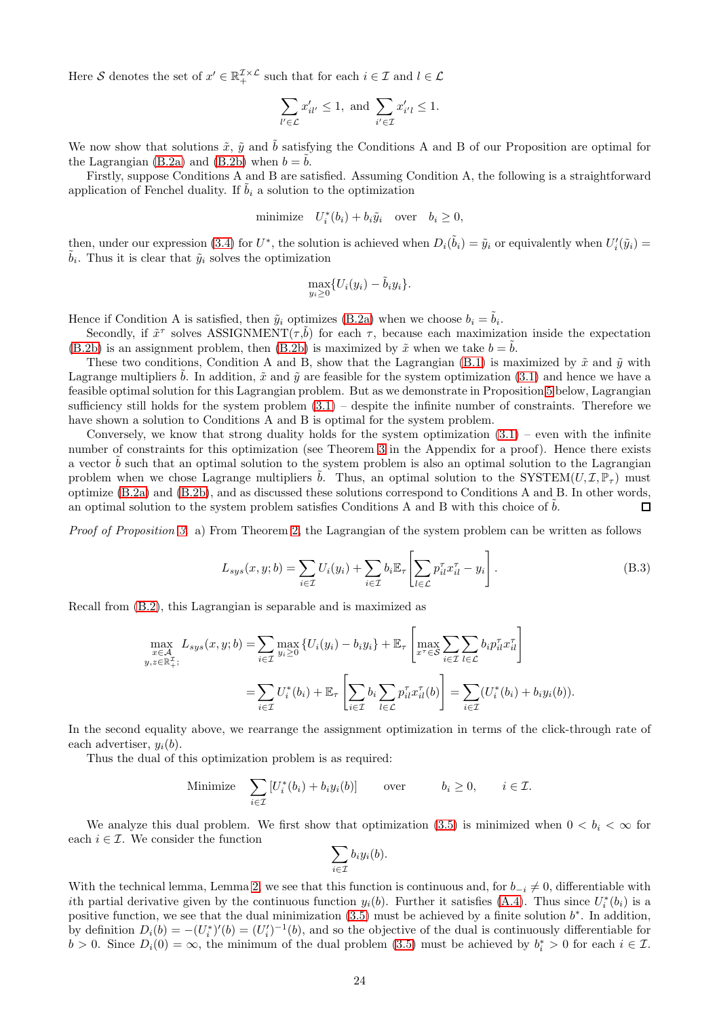Here S denotes the set of  $x' \in \mathbb{R}_+^{\mathcal{I} \times \mathcal{L}}$  such that for each  $i \in \mathcal{I}$  and  $l \in \mathcal{L}$ 

$$
\sum_{l'\in\mathcal{L}}x'_{il'}\leq 1, \text{ and } \sum_{i'\in\mathcal{I}}x'_{i'l}\leq 1.
$$

We now show that solutions  $\tilde{x}$ ,  $\tilde{y}$  and  $\tilde{b}$  satisfying the Conditions A and B of our Proposition are optimal for the Lagrangian [\(B.2a\)](#page-22-3) and [\(B.2b\)](#page-22-4) when  $b = b$ .

Firstly, suppose Conditions A and B are satisfied. Assuming Condition A, the following is a straightforward application of Fenchel duality. If  $\tilde{b}_i$  a solution to the optimization

minimize 
$$
U_i^*(b_i) + b_i \tilde{y}_i
$$
 over  $b_i \ge 0$ ,

then, under our expression [\(3.4\)](#page-6-8) for  $U^*$ , the solution is achieved when  $D_i(\tilde{b}_i) = \tilde{y}_i$  or equivalently when  $U_i'(\tilde{y}_i) =$  $\tilde{b}_i$ . Thus it is clear that  $\tilde{y}_i$  solves the optimization

$$
\max_{y_i \geq 0} \{ U_i(y_i) - \tilde{b}_i y_i \}.
$$

Hence if Condition A is satisfied, then  $\tilde{y}_i$  optimizes [\(B.2a\)](#page-22-3) when we choose  $b_i = \tilde{b}_i$ .

Secondly, if  $\tilde{x}^{\tau}$  solves ASSIGNMENT $(\tau, \tilde{b})$  for each  $\tau$ , because each maximization inside the expectation [\(B.2b\)](#page-22-4) is an assignment problem, then [\(B.2b\)](#page-22-4) is maximized by  $\tilde{x}$  when we take  $b = b$ .

These two conditions, Condition A and B, show that the Lagrangian [\(B.1\)](#page-22-5) is maximized by  $\tilde{x}$  and  $\tilde{y}$  with Lagrange multipliers  $\tilde{b}$ . In addition,  $\tilde{x}$  and  $\tilde{y}$  are feasible for the system optimization [\(3.1\)](#page-6-7) and hence we have a feasible optimal solution for this Lagrangian problem. But as we demonstrate in Proposition [5](#page-24-1) below, Lagrangian sufficiency still holds for the system problem  $(3.1)$  – despite the infinite number of constraints. Therefore we have shown a solution to Conditions A and B is optimal for the system problem.

Conversely, we know that strong duality holds for the system optimization  $(3.1)$  – even with the infinite number of constraints for this optimization (see Theorem [3](#page-25-0) in the Appendix for a proof). Hence there exists a vector  $b$  such that an optimal solution to the system problem is also an optimal solution to the Lagrangian problem when we chose Lagrange multipliers  $\hat{b}$ . Thus, an optimal solution to the SYSTEM $(U, \mathcal{I}, \mathbb{P}_{\tau})$  must optimize [\(B.2a\)](#page-22-3) and [\(B.2b\)](#page-22-4), and as discussed these solutions correspond to Conditions A and B. In other words, an optimal solution to the system problem satisfies Conditions A and B with this choice of  $b$ .  $\Box$ 

Proof of Proposition [3.](#page-7-3) a) From Theorem [2,](#page-7-5) the Lagrangian of the system problem can be written as follows

<span id="page-23-0"></span>
$$
L_{sys}(x, y; b) = \sum_{i \in \mathcal{I}} U_i(y_i) + \sum_{i \in \mathcal{I}} b_i \mathbb{E}_{\tau} \left[ \sum_{l \in \mathcal{L}} p_{il}^{\tau} x_{il}^{\tau} - y_i \right].
$$
 (B.3)

Recall from [\(B.2\)](#page-22-6), this Lagrangian is separable and is maximized as

$$
\max_{\substack{x \in \mathcal{A} \\ y, z \in \mathbb{R}_+^T;}} L_{sys}(x, y; b) = \sum_{i \in \mathcal{I}} \max_{y_i \ge 0} \{ U_i(y_i) - b_i y_i \} + \mathbb{E}_{\tau} \left[ \max_{x^{\tau} \in \mathcal{S}} \sum_{i \in \mathcal{I}} \sum_{l \in \mathcal{L}} b_i p_{il}^{\tau} x_{il}^{\tau} \right] \n= \sum_{i \in \mathcal{I}} U_i^*(b_i) + \mathbb{E}_{\tau} \left[ \sum_{i \in \mathcal{I}} b_i \sum_{l \in \mathcal{L}} p_{il}^{\tau} x_{il}^{\tau}(b) \right] = \sum_{i \in \mathcal{I}} (U_i^*(b_i) + b_i y_i(b)).
$$

In the second equality above, we rearrange the assignment optimization in terms of the click-through rate of each advertiser,  $y_i(b)$ .

Thus the dual of this optimization problem is as required:

Minimize 
$$
\sum_{i \in \mathcal{I}} [U_i^*(b_i) + b_i y_i(b)] \quad \text{over} \quad b_i \ge 0, \quad i \in \mathcal{I}.
$$

We analyze this dual problem. We first show that optimization [\(3.5\)](#page-7-1) is minimized when  $0 < b_i < \infty$  for each  $i \in \mathcal{I}$ . We consider the function

$$
\sum_{i\in\mathcal{I}}b_iy_i(b).
$$

With the technical lemma, Lemma [2,](#page-22-0) we see that this function is continuous and, for  $b_{-i} \neq 0$ , differentiable with ith partial derivative given by the continuous function  $y_i(b)$ . Further it satisfies [\(A.4\)](#page-22-2). Thus since  $U_i^*(b_i)$  is a positive function, we see that the dual minimization  $(3.5)$  must be achieved by a finite solution  $b^*$ . In addition, by definition  $D_i(b) = -(U_i^*)'(b) = (U_i')^{-1}(b)$ , and so the objective of the dual is continuously differentiable for  $b > 0$ . Since  $D_i(0) = \infty$ , the minimum of the dual problem [\(3.5\)](#page-7-1) must be achieved by  $b_i^* > 0$  for each  $i \in \mathcal{I}$ .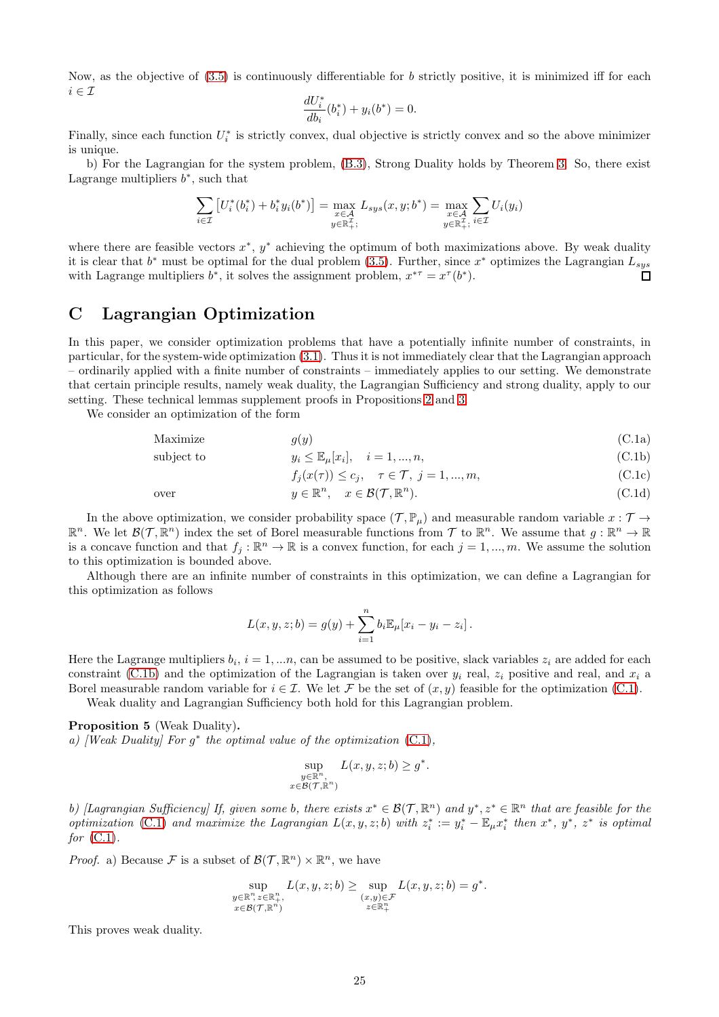Now, as the objective of  $(3.5)$  is continuously differentiable for b strictly positive, it is minimized iff for each  $i \in \mathcal{I}$ 

$$
\frac{dU_i^*}{db_i}(b_i^*) + y_i(b^*) = 0.
$$

Finally, since each function  $U_i^*$  is strictly convex, dual objective is strictly convex and so the above minimizer is unique.

b) For the Lagrangian for the system problem, [\(B.3\)](#page-23-0), Strong Duality holds by Theorem [3.](#page-25-0) So, there exist Lagrange multipliers  $b^*$ , such that

$$
\sum_{i \in \mathcal{I}} \left[ U_i^*(b_i^*) + b_i^* y_i(b^*) \right] = \max_{\substack{x \in \mathcal{A} \\ y \in \mathbb{R}_+^{\mathcal{I}}}} L_{sys}(x, y; b^*) = \max_{\substack{x \in \mathcal{A} \\ y \in \mathbb{R}_+^{\mathcal{I}}}} U_i(y_i)
$$

where there are feasible vectors  $x^*$ ,  $y^*$  achieving the optimum of both maximizations above. By weak duality it is clear that  $b^*$  must be optimal for the dual problem [\(3.5\)](#page-7-1). Further, since  $x^*$  optimizes the Lagrangian  $L_{sys}$ with Lagrange multipliers  $b^*$ , it solves the assignment problem,  $x^{*\tau} = x^{\tau}(b^*)$ .

# <span id="page-24-0"></span>C Lagrangian Optimization

In this paper, we consider optimization problems that have a potentially infinite number of constraints, in particular, for the system-wide optimization [\(3.1\)](#page-6-7). Thus it is not immediately clear that the Lagrangian approach – ordinarily applied with a finite number of constraints – immediately applies to our setting. We demonstrate that certain principle results, namely weak duality, the Lagrangian Sufficiency and strong duality, apply to our setting. These technical lemmas supplement proofs in Propositions [2](#page-7-5) and [3.](#page-7-3)

We consider an optimization of the form

$$
Maximize \t g(y) \t (C.1a)
$$

subject to 
$$
y_i \le \mathbb{E}_{\mu}[x_i], \quad i = 1, ..., n,
$$
 (C.1b)

<span id="page-24-5"></span><span id="page-24-4"></span><span id="page-24-3"></span><span id="page-24-2"></span>
$$
f_j(x(\tau)) \le c_j, \quad \tau \in \mathcal{T}, \ j = 1, \dots, m,
$$
\n(C.1c)

over 
$$
y \in \mathbb{R}^n
$$
,  $x \in \mathcal{B}(\mathcal{T}, \mathbb{R}^n)$ . (C.1d)

.

In the above optimization, we consider probability space  $(\mathcal{T}, \mathbb{P}_{\mu})$  and measurable random variable  $x : \mathcal{T} \to$  $\mathbb{R}^n$ . We let  $\mathcal{B}(\mathcal{T}, \mathbb{R}^n)$  index the set of Borel measurable functions from  $\mathcal{T}$  to  $\mathbb{R}^n$ . We assume that  $g: \mathbb{R}^n \to \mathbb{R}$ is a concave function and that  $f_j : \mathbb{R}^n \to \mathbb{R}$  is a convex function, for each  $j = 1, ..., m$ . We assume the solution to this optimization is bounded above.

Although there are an infinite number of constraints in this optimization, we can define a Lagrangian for this optimization as follows

$$
L(x, y, z; b) = g(y) + \sum_{i=1}^{n} b_i \mathbb{E}_{\mu}[x_i - y_i - z_i].
$$

Here the Lagrange multipliers  $b_i$ ,  $i = 1, ..., n$ , can be assumed to be positive, slack variables  $z_i$  are added for each constraint [\(C.1b\)](#page-24-2) and the optimization of the Lagrangian is taken over  $y_i$  real,  $z_i$  positive and real, and  $x_i$  a Borel measurable random variable for  $i \in \mathcal{I}$ . We let F be the set of  $(x, y)$  feasible for the optimization [\(C.1\)](#page-24-3).

Weak duality and Lagrangian Sufficiency both hold for this Lagrangian problem.

### <span id="page-24-1"></span>Proposition 5 (Weak Duality).

a) [Weak Duality] For  $g^*$  the optimal value of the optimization  $(C.1)$ ,

$$
\sup_{\substack{y \in \mathbb{R}^n, \\ x \in \mathcal{B}(\mathcal{T}, \mathbb{R}^n)}} L(x, y, z; b) \ge g^*
$$

b) [Lagrangian Sufficiency] If, given some b, there exists  $x^* \in \mathcal{B}(\mathcal{T}, \mathbb{R}^n)$  and  $y^*, z^* \in \mathbb{R}^n$  that are feasible for the optimization [\(C.1\)](#page-24-3) and maximize the Lagrangian  $L(x, y, z; b)$  with  $z_i^* := y_i^* - \mathbb{E}_{\mu} x_i^*$  then  $x^*$ ,  $y^*$ ,  $z^*$  is optimal for  $(C.1)$ .

*Proof.* a) Because F is a subset of  $\mathcal{B}(\mathcal{T}, \mathbb{R}^n) \times \mathbb{R}^n$ , we have

$$
\sup_{\substack{y \in \mathbb{R}^n, z \in \mathbb{R}^n_+ \\ x \in \mathcal{B}(\mathcal{T}, \mathbb{R}^n)}} L(x, y, z; b) \ge \sup_{\substack{(x, y) \in \mathcal{F} \\ z \in \mathbb{R}^n_+}} L(x, y, z; b) = g^*.
$$

This proves weak duality.